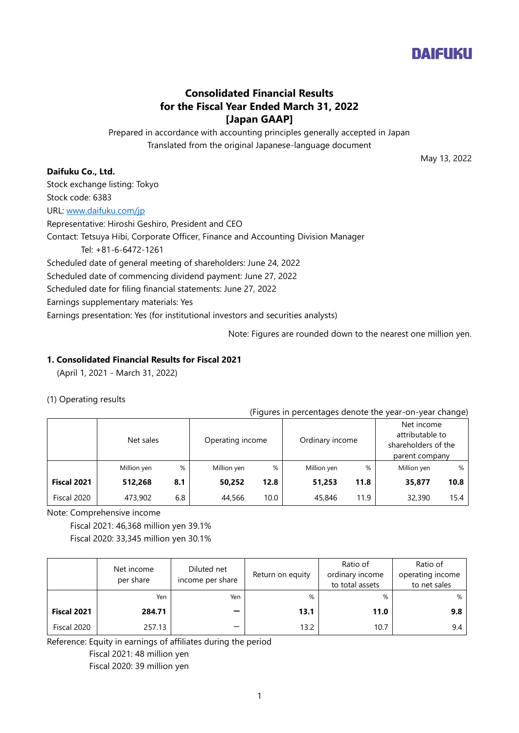

# **Consolidated Financial Results for the Fiscal Year Ended March 31, 2022 [Japan GAAP]**

Prepared in accordance with accounting principles generally accepted in Japan Translated from the original Japanese-language document

May 13, 2022

# **Daifuku Co., Ltd.**

Stock exchange listing: Tokyo Stock code: 6383 URL: [www.daifuku.com/jp](http://www.daifuku.com/jp) Representative: Hiroshi Geshiro, President and CEO Contact: Tetsuya Hibi, Corporate Officer, Finance and Accounting Division Manager Tel: +81-6-6472-1261 Scheduled date of general meeting of shareholders: June 24, 2022 Scheduled date of commencing dividend payment: June 27, 2022 Scheduled date for filing financial statements: June 27, 2022 Earnings supplementary materials: Yes Earnings presentation: Yes (for institutional investors and securities analysts)

Note: Figures are rounded down to the nearest one million yen.

## **1. Consolidated Financial Results for Fiscal 2021**

(April 1, 2021 - March 31, 2022)

## (1) Operating results

#### (Figures in percentages denote the year-on-year change)

|             |             |     |                  | $\overline{\phantom{a}}$ |             |                 |             | $\overline{\phantom{a}}$                                               |  |
|-------------|-------------|-----|------------------|--------------------------|-------------|-----------------|-------------|------------------------------------------------------------------------|--|
|             | Net sales   |     | Operating income |                          |             | Ordinary income |             | Net income<br>attributable to<br>shareholders of the<br>parent company |  |
|             | Million yen | %   | Million yen      | %                        | Million yen | %               | Million yen | %                                                                      |  |
| Fiscal 2021 | 512,268     | 8.1 | 50.252           | 12.8                     | 51,253      | 11.8            | 35,877      | 10.8                                                                   |  |
| Fiscal 2020 | 473,902     | 6.8 | 44,566           | 10.0                     | 45,846      | 11.9            | 32,390      | 15.4                                                                   |  |

Note: Comprehensive income

Fiscal 2021: 46,368 million yen 39.1%

Fiscal 2020: 33,345 million yen 30.1%

|             | Net income<br>per share | Diluted net<br>income per share | Return on equity | Ratio of<br>ordinary income<br>to total assets | Ratio of<br>operating income<br>to net sales |
|-------------|-------------------------|---------------------------------|------------------|------------------------------------------------|----------------------------------------------|
|             | Yen                     | Yen                             | %                | %                                              | %                                            |
| Fiscal 2021 | 284.71                  |                                 | 13.1             | 11.0                                           | 9.8                                          |
| Fiscal 2020 | 257.13                  |                                 | 13.2             | 10.7                                           | 9.4                                          |

Reference: Equity in earnings of affiliates during the period

Fiscal 2021: 48 million yen

Fiscal 2020: 39 million yen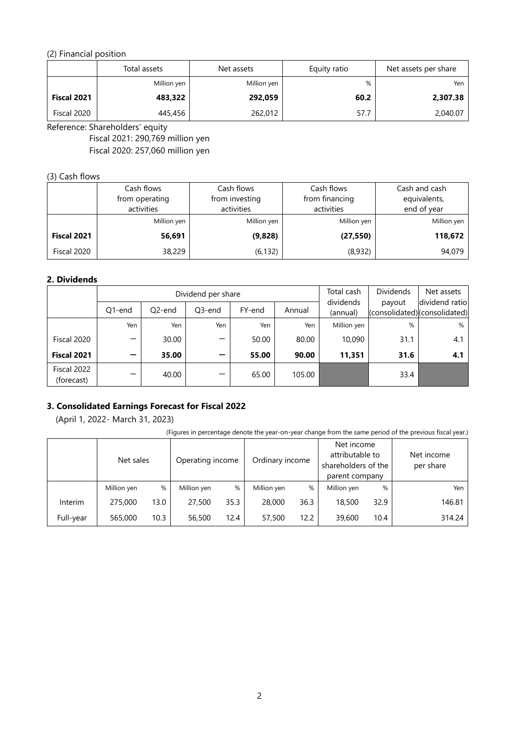# (2) Financial position

|             | Total assets | Net assets  | Equity ratio | Net assets per share |
|-------------|--------------|-------------|--------------|----------------------|
|             | Million yen  | Million yen | %            | Yen                  |
| Fiscal 2021 | 483,322      | 292,059     | 60.2         | 2,307.38             |
| Fiscal 2020 | 445,456      | 262,012     | 57.7         | 2,040.07             |

Reference: Shareholders' equity

Fiscal 2021: 290,769 million yen Fiscal 2020: 257,060 million yen

## (3) Cash flows

|             | Cash flows     | Cash flows     | Cash flows     | Cash and cash |
|-------------|----------------|----------------|----------------|---------------|
|             | from operating | from investing | from financing | equivalents,  |
|             | activities     | activities     | activities     | end of year   |
|             | Million yen    | Million yen    | Million yen    | Million yen   |
| Fiscal 2021 | 56,691         | (9,828)        | (27, 550)      | 118,672       |
| Fiscal 2020 | 38,229         | (6, 132)       | (8,932)        | 94,079        |

## **2. Dividends**

|                           | Dividend per share  |                     |        |        | Total cash | <b>Dividends</b>      | Net assets |                                                |
|---------------------------|---------------------|---------------------|--------|--------|------------|-----------------------|------------|------------------------------------------------|
|                           | O <sub>1</sub> -end | Q <sub>2</sub> -end | Q3-end | FY-end | Annual     | dividends<br>(annual) | payout     | dividend ratio<br>(consolidated)(consolidated) |
|                           | Yen                 | Yen                 | Yen    | Yen    | Yen        | Million yen           | %          | %                                              |
| Fiscal 2020               |                     | 30.00               |        | 50.00  | 80.00      | 10,090                | 31.1       | 4.1                                            |
| Fiscal 2021               |                     | 35.00               |        | 55.00  | 90.00      | 11,351                | 31.6       | 4.1                                            |
| Fiscal 2022<br>(forecast) |                     | 40.00               |        | 65.00  | 105.00     |                       | 33.4       |                                                |

# **3. Consolidated Earnings Forecast for Fiscal 2022**

(April 1, 2022- March 31, 2023)

(Figures in percentage denote the year-on-year change from the same period of the previous fiscal year.)

|           | Net sales   |      | Operating income |      | Ordinary income |      | Net income<br>attributable to<br>shareholders of the<br>parent company |      |        | Net income<br>per share |
|-----------|-------------|------|------------------|------|-----------------|------|------------------------------------------------------------------------|------|--------|-------------------------|
|           | Million yen | %    | Million yen      | %    | Million yen     | %    | Million yen                                                            | %    | Yen    |                         |
| Interim   | 275,000     | 13.0 | 27,500           | 35.3 | 28,000          | 36.3 | 18,500                                                                 | 32.9 | 146.81 |                         |
| Full-year | 565,000     | 10.3 | 56,500           | 12.4 | 57,500          | 12.2 | 39,600                                                                 | 10.4 | 314.24 |                         |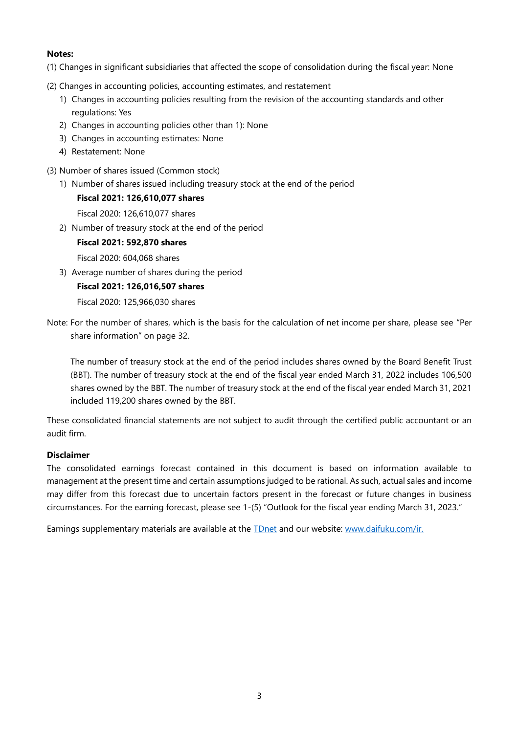## **Notes:**

- (1) Changes in significant subsidiaries that affected the scope of consolidation during the fiscal year: None
- (2) Changes in accounting policies, accounting estimates, and restatement
	- 1) Changes in accounting policies resulting from the revision of the accounting standards and other regulations: Yes
	- 2) Changes in accounting policies other than 1): None
	- 3) Changes in accounting estimates: None
	- 4) Restatement: None
- (3) Number of shares issued (Common stock)
	- 1) Number of shares issued including treasury stock at the end of the period

## **Fiscal 2021: 126,610,077 shares**

- Fiscal 2020: 126,610,077 shares
- 2) Number of treasury stock at the end of the period

## **Fiscal 2021: 592,870 shares**

Fiscal 2020: 604,068 shares

3) Average number of shares during the period

## **Fiscal 2021: 126,016,507 shares**

Fiscal 2020: 125,966,030 shares

Note: For the number of shares, which is the basis for the calculation of net income per share, please see "Per share information" on page 32.

The number of treasury stock at the end of the period includes shares owned by the Board Benefit Trust (BBT). The number of treasury stock at the end of the fiscal year ended March 31, 2022 includes 106,500 shares owned by the BBT. The number of treasury stock at the end of the fiscal year ended March 31, 2021 included 119,200 shares owned by the BBT.

These consolidated financial statements are not subject to audit through the certified public accountant or an audit firm.

## **Disclaimer**

The consolidated earnings forecast contained in this document is based on information available to management at the present time and certain assumptions judged to be rational. As such, actual sales and income may differ from this forecast due to uncertain factors present in the forecast or future changes in business circumstances. For the earning forecast, please see 1-(5) "Outlook for the fiscal year ending March 31, 2023."

Earnings supplementary materials are available at the **[TDnet](https://www.release.tdnet.info/index_e.html)** and our website: [www.daifuku.com/ir.](http://www.daifuku.com/ir)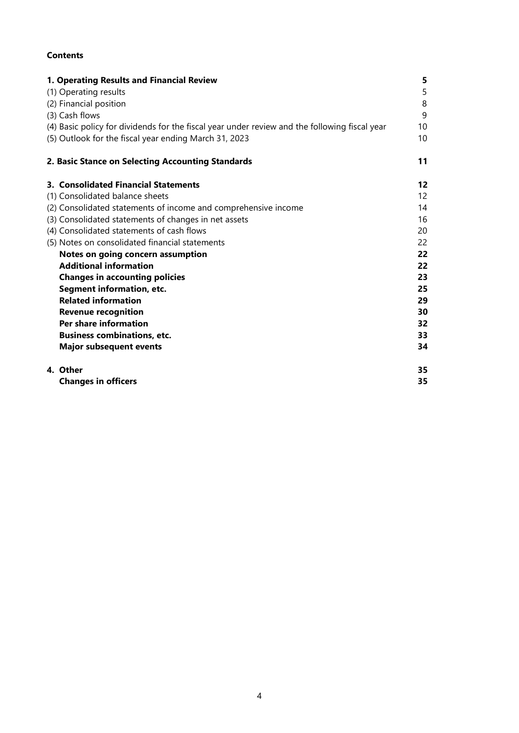# **Contents**

| 1. Operating Results and Financial Review                                                     | 5  |
|-----------------------------------------------------------------------------------------------|----|
| (1) Operating results                                                                         | 5  |
| (2) Financial position                                                                        | 8  |
| (3) Cash flows                                                                                | 9  |
| (4) Basic policy for dividends for the fiscal year under review and the following fiscal year | 10 |
| (5) Outlook for the fiscal year ending March 31, 2023                                         | 10 |
| 2. Basic Stance on Selecting Accounting Standards                                             | 11 |
| 3. Consolidated Financial Statements                                                          | 12 |
| (1) Consolidated balance sheets                                                               | 12 |
| (2) Consolidated statements of income and comprehensive income                                | 14 |
| (3) Consolidated statements of changes in net assets                                          | 16 |
| (4) Consolidated statements of cash flows                                                     | 20 |
| (5) Notes on consolidated financial statements                                                | 22 |
| Notes on going concern assumption                                                             | 22 |
| <b>Additional information</b>                                                                 | 22 |
| <b>Changes in accounting policies</b>                                                         | 23 |
| <b>Segment information, etc.</b>                                                              | 25 |
| <b>Related information</b>                                                                    | 29 |
| <b>Revenue recognition</b>                                                                    | 30 |
| Per share information                                                                         | 32 |
| <b>Business combinations, etc.</b>                                                            | 33 |
| <b>Major subsequent events</b>                                                                | 34 |
| 4. Other                                                                                      | 35 |
| <b>Changes in officers</b>                                                                    | 35 |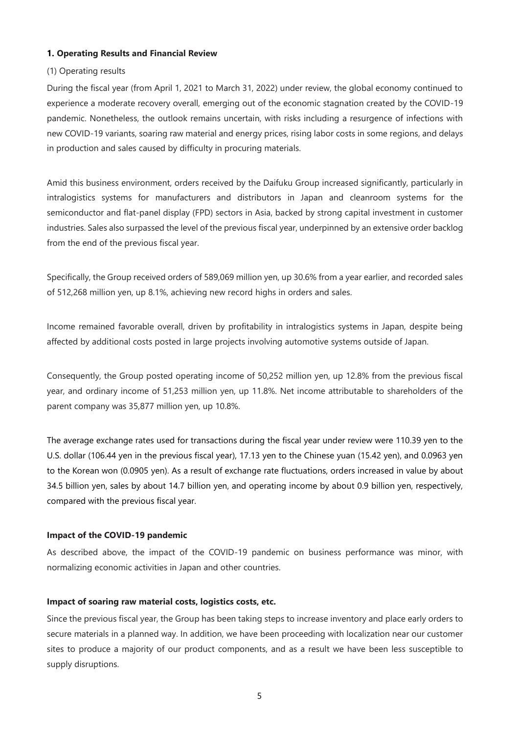## **1. Operating Results and Financial Review**

## (1) Operating results

During the fiscal year (from April 1, 2021 to March 31, 2022) under review, the global economy continued to experience a moderate recovery overall, emerging out of the economic stagnation created by the COVID-19 pandemic. Nonetheless, the outlook remains uncertain, with risks including a resurgence of infections with new COVID-19 variants, soaring raw material and energy prices, rising labor costs in some regions, and delays in production and sales caused by difficulty in procuring materials.

Amid this business environment, orders received by the Daifuku Group increased significantly, particularly in intralogistics systems for manufacturers and distributors in Japan and cleanroom systems for the semiconductor and flat-panel display (FPD) sectors in Asia, backed by strong capital investment in customer industries. Sales also surpassed the level of the previous fiscal year, underpinned by an extensive order backlog from the end of the previous fiscal year.

Specifically, the Group received orders of 589,069 million yen, up 30.6% from a year earlier, and recorded sales of 512,268 million yen, up 8.1%, achieving new record highs in orders and sales.

Income remained favorable overall, driven by profitability in intralogistics systems in Japan, despite being affected by additional costs posted in large projects involving automotive systems outside of Japan.

Consequently, the Group posted operating income of 50,252 million yen, up 12.8% from the previous fiscal year, and ordinary income of 51,253 million yen, up 11.8%. Net income attributable to shareholders of the parent company was 35,877 million yen, up 10.8%.

The average exchange rates used for transactions during the fiscal year under review were 110.39 yen to the U.S. dollar (106.44 yen in the previous fiscal year), 17.13 yen to the Chinese yuan (15.42 yen), and 0.0963 yen to the Korean won (0.0905 yen). As a result of exchange rate fluctuations, orders increased in value by about 34.5 billion yen, sales by about 14.7 billion yen, and operating income by about 0.9 billion yen, respectively, compared with the previous fiscal year.

## **Impact of the COVID-19 pandemic**

As described above, the impact of the COVID-19 pandemic on business performance was minor, with normalizing economic activities in Japan and other countries.

## **Impact of soaring raw material costs, logistics costs, etc.**

Since the previous fiscal year, the Group has been taking steps to increase inventory and place early orders to secure materials in a planned way. In addition, we have been proceeding with localization near our customer sites to produce a majority of our product components, and as a result we have been less susceptible to supply disruptions.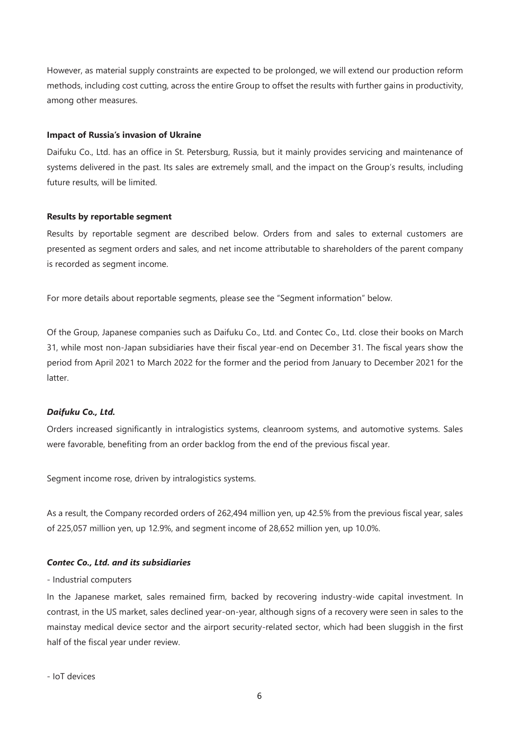However, as material supply constraints are expected to be prolonged, we will extend our production reform methods, including cost cutting, across the entire Group to offset the results with further gains in productivity, among other measures.

#### **Impact of Russia's invasion of Ukraine**

Daifuku Co., Ltd. has an office in St. Petersburg, Russia, but it mainly provides servicing and maintenance of systems delivered in the past. Its sales are extremely small, and the impact on the Group's results, including future results, will be limited.

#### **Results by reportable segment**

Results by reportable segment are described below. Orders from and sales to external customers are presented as segment orders and sales, and net income attributable to shareholders of the parent company is recorded as segment income.

For more details about reportable segments, please see the "Segment information" below.

Of the Group, Japanese companies such as Daifuku Co., Ltd. and Contec Co., Ltd. close their books on March 31, while most non-Japan subsidiaries have their fiscal year-end on December 31. The fiscal years show the period from April 2021 to March 2022 for the former and the period from January to December 2021 for the latter.

## *Daifuku Co., Ltd.*

Orders increased significantly in intralogistics systems, cleanroom systems, and automotive systems. Sales were favorable, benefiting from an order backlog from the end of the previous fiscal year.

Segment income rose, driven by intralogistics systems.

As a result, the Company recorded orders of 262,494 million yen, up 42.5% from the previous fiscal year, sales of 225,057 million yen, up 12.9%, and segment income of 28,652 million yen, up 10.0%.

#### *Contec Co., Ltd. and its subsidiaries*

#### - Industrial computers

In the Japanese market, sales remained firm, backed by recovering industry-wide capital investment. In contrast, in the US market, sales declined year-on-year, although signs of a recovery were seen in sales to the mainstay medical device sector and the airport security-related sector, which had been sluggish in the first half of the fiscal year under review.

- IoT devices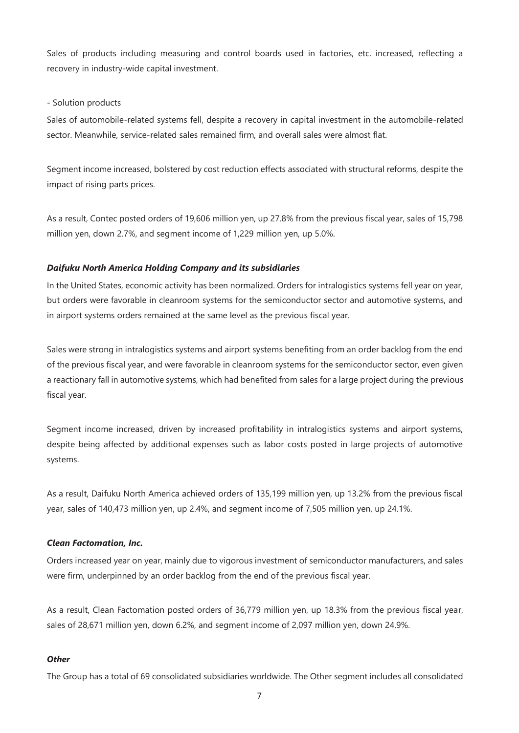Sales of products including measuring and control boards used in factories, etc. increased, reflecting a recovery in industry-wide capital investment.

#### - Solution products

Sales of automobile-related systems fell, despite a recovery in capital investment in the automobile-related sector. Meanwhile, service-related sales remained firm, and overall sales were almost flat.

Segment income increased, bolstered by cost reduction effects associated with structural reforms, despite the impact of rising parts prices.

As a result, Contec posted orders of 19,606 million yen, up 27.8% from the previous fiscal year, sales of 15,798 million yen, down 2.7%, and segment income of 1,229 million yen, up 5.0%.

#### *Daifuku North America Holding Company and its subsidiaries*

In the United States, economic activity has been normalized. Orders for intralogistics systems fell year on year, but orders were favorable in cleanroom systems for the semiconductor sector and automotive systems, and in airport systems orders remained at the same level as the previous fiscal year.

Sales were strong in intralogistics systems and airport systems benefiting from an order backlog from the end of the previous fiscal year, and were favorable in cleanroom systems for the semiconductor sector, even given a reactionary fall in automotive systems, which had benefited from sales for a large project during the previous fiscal year.

Segment income increased, driven by increased profitability in intralogistics systems and airport systems, despite being affected by additional expenses such as labor costs posted in large projects of automotive systems.

As a result, Daifuku North America achieved orders of 135,199 million yen, up 13.2% from the previous fiscal year, sales of 140,473 million yen, up 2.4%, and segment income of 7,505 million yen, up 24.1%.

#### *Clean Factomation, Inc.*

Orders increased year on year, mainly due to vigorous investment of semiconductor manufacturers, and sales were firm, underpinned by an order backlog from the end of the previous fiscal year.

As a result, Clean Factomation posted orders of 36,779 million yen, up 18.3% from the previous fiscal year, sales of 28,671 million yen, down 6.2%, and segment income of 2,097 million yen, down 24.9%.

#### *Other*

The Group has a total of 69 consolidated subsidiaries worldwide. The Other segment includes all consolidated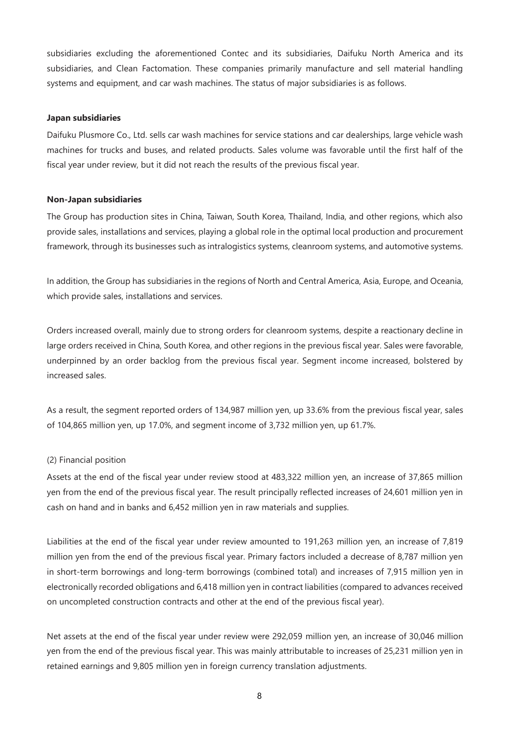subsidiaries excluding the aforementioned Contec and its subsidiaries, Daifuku North America and its subsidiaries, and Clean Factomation. These companies primarily manufacture and sell material handling systems and equipment, and car wash machines. The status of major subsidiaries is as follows.

#### **Japan subsidiaries**

Daifuku Plusmore Co., Ltd. sells car wash machines for service stations and car dealerships, large vehicle wash machines for trucks and buses, and related products. Sales volume was favorable until the first half of the fiscal year under review, but it did not reach the results of the previous fiscal year.

#### **Non-Japan subsidiaries**

The Group has production sites in China, Taiwan, South Korea, Thailand, India, and other regions, which also provide sales, installations and services, playing a global role in the optimal local production and procurement framework, through its businesses such as intralogistics systems, cleanroom systems, and automotive systems.

In addition, the Group has subsidiaries in the regions of North and Central America, Asia, Europe, and Oceania, which provide sales, installations and services.

Orders increased overall, mainly due to strong orders for cleanroom systems, despite a reactionary decline in large orders received in China, South Korea, and other regions in the previous fiscal year. Sales were favorable, underpinned by an order backlog from the previous fiscal year. Segment income increased, bolstered by increased sales.

As a result, the segment reported orders of 134,987 million yen, up 33.6% from the previous fiscal year, sales of 104,865 million yen, up 17.0%, and segment income of 3,732 million yen, up 61.7%.

#### (2) Financial position

Assets at the end of the fiscal year under review stood at 483,322 million yen, an increase of 37,865 million yen from the end of the previous fiscal year. The result principally reflected increases of 24,601 million yen in cash on hand and in banks and 6,452 million yen in raw materials and supplies.

Liabilities at the end of the fiscal year under review amounted to 191,263 million yen, an increase of 7,819 million yen from the end of the previous fiscal year. Primary factors included a decrease of 8,787 million yen in short-term borrowings and long-term borrowings (combined total) and increases of 7,915 million yen in electronically recorded obligations and 6,418 million yen in contract liabilities (compared to advances received on uncompleted construction contracts and other at the end of the previous fiscal year).

Net assets at the end of the fiscal year under review were 292,059 million yen, an increase of 30,046 million yen from the end of the previous fiscal year. This was mainly attributable to increases of 25,231 million yen in retained earnings and 9,805 million yen in foreign currency translation adjustments.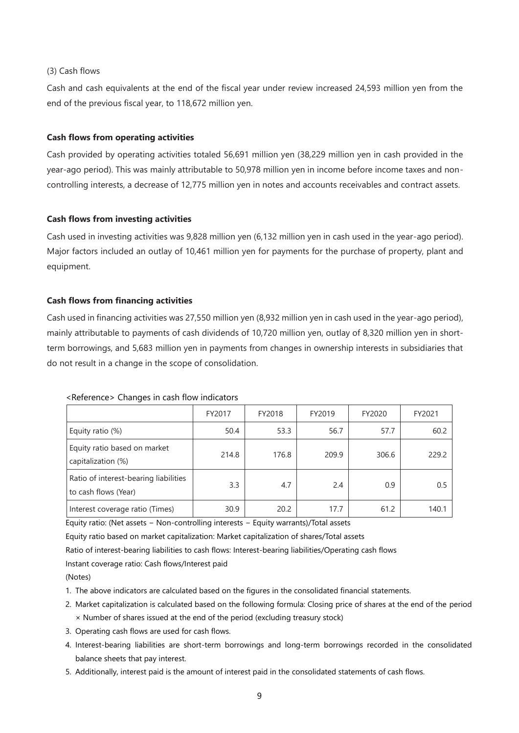## (3) Cash flows

Cash and cash equivalents at the end of the fiscal year under review increased 24,593 million yen from the end of the previous fiscal year, to 118,672 million yen.

#### **Cash flows from operating activities**

Cash provided by operating activities totaled 56,691 million yen (38,229 million yen in cash provided in the year-ago period). This was mainly attributable to 50,978 million yen in income before income taxes and noncontrolling interests, a decrease of 12,775 million yen in notes and accounts receivables and contract assets.

#### **Cash flows from investing activities**

Cash used in investing activities was 9,828 million yen (6,132 million yen in cash used in the year-ago period). Major factors included an outlay of 10,461 million yen for payments for the purchase of property, plant and equipment.

#### **Cash flows from financing activities**

Cash used in financing activities was 27,550 million yen (8,932 million yen in cash used in the year-ago period), mainly attributable to payments of cash dividends of 10,720 million yen, outlay of 8,320 million yen in shortterm borrowings, and 5,683 million yen in payments from changes in ownership interests in subsidiaries that do not result in a change in the scope of consolidation.

#### <Reference> Changes in cash flow indicators

|                                                               | FY2017 | FY2018 | FY2019 | FY2020 | FY2021 |
|---------------------------------------------------------------|--------|--------|--------|--------|--------|
| Equity ratio (%)                                              | 50.4   | 53.3   | 56.7   | 57.7   | 60.2   |
| Equity ratio based on market<br>capitalization (%)            | 214.8  | 176.8  | 209.9  | 306.6  | 229.2  |
| Ratio of interest-bearing liabilities<br>to cash flows (Year) | 3.3    | 4.7    | 2.4    | 0.9    | 0.5    |
| Interest coverage ratio (Times)                               | 30.9   | 20.2   | 17.7   | 61.2   | 140.1  |

Equity ratio: (Net assets − Non-controlling interests − Equity warrants)/Total assets

Equity ratio based on market capitalization: Market capitalization of shares/Total assets

Ratio of interest-bearing liabilities to cash flows: Interest-bearing liabilities/Operating cash flows

Instant coverage ratio: Cash flows/Interest paid

(Notes)

- 1. The above indicators are calculated based on the figures in the consolidated financial statements.
- 2. Market capitalization is calculated based on the following formula: Closing price of shares at the end of the period × Number of shares issued at the end of the period (excluding treasury stock)
- 3. Operating cash flows are used for cash flows.
- 4. Interest-bearing liabilities are short-term borrowings and long-term borrowings recorded in the consolidated balance sheets that pay interest.
- 5. Additionally, interest paid is the amount of interest paid in the consolidated statements of cash flows.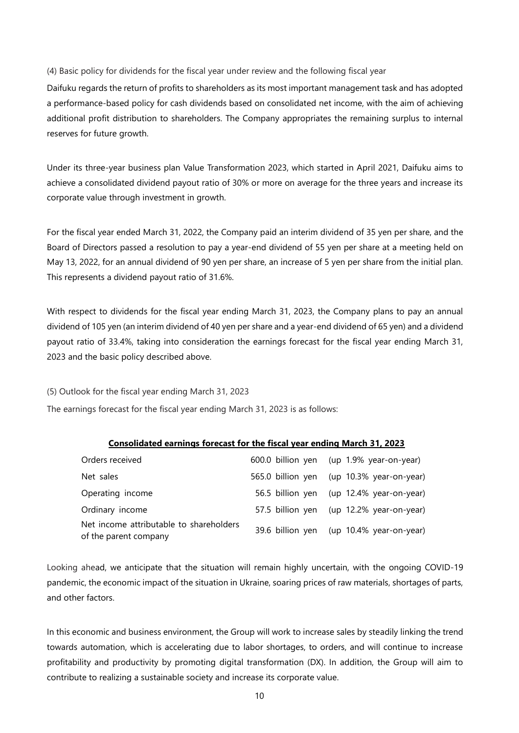(4) Basic policy for dividends for the fiscal year under review and the following fiscal year

Daifuku regards the return of profits to shareholders as its most important management task and has adopted a performance-based policy for cash dividends based on consolidated net income, with the aim of achieving additional profit distribution to shareholders. The Company appropriates the remaining surplus to internal reserves for future growth.

Under its three-year business plan Value Transformation 2023, which started in April 2021, Daifuku aims to achieve a consolidated dividend payout ratio of 30% or more on average for the three years and increase its corporate value through investment in growth.

For the fiscal year ended March 31, 2022, the Company paid an interim dividend of 35 yen per share, and the Board of Directors passed a resolution to pay a year-end dividend of 55 yen per share at a meeting held on May 13, 2022, for an annual dividend of 90 yen per share, an increase of 5 yen per share from the initial plan. This represents a dividend payout ratio of 31.6%.

With respect to dividends for the fiscal year ending March 31, 2023, the Company plans to pay an annual dividend of 105 yen (an interim dividend of 40 yen per share and a year-end dividend of 65 yen) and a dividend payout ratio of 33.4%, taking into consideration the earnings forecast for the fiscal year ending March 31, 2023 and the basic policy described above.

(5) Outlook for the fiscal year ending March 31, 2023

The earnings forecast for the fiscal year ending March 31, 2023 is as follows:

#### **Consolidated earnings forecast for the fiscal year ending March 31, 2023**

| Orders received                                                  |                   | 600.0 billion yen (up 1.9% year-on-year) |
|------------------------------------------------------------------|-------------------|------------------------------------------|
| Net sales                                                        | 565.0 billion yen | (up 10.3% year-on-year)                  |
| Operating income                                                 | 56.5 billion yen  | $(up 12.4\%$ year-on-year)               |
| Ordinary income                                                  |                   | 57.5 billion yen (up 12.2% year-on-year) |
| Net income attributable to shareholders<br>of the parent company |                   | 39.6 billion yen (up 10.4% year-on-year) |

Looking ahead, we anticipate that the situation will remain highly uncertain, with the ongoing COVID-19 pandemic, the economic impact of the situation in Ukraine, soaring prices of raw materials, shortages of parts, and other factors.

In this economic and business environment, the Group will work to increase sales by steadily linking the trend towards automation, which is accelerating due to labor shortages, to orders, and will continue to increase profitability and productivity by promoting digital transformation (DX). In addition, the Group will aim to contribute to realizing a sustainable society and increase its corporate value.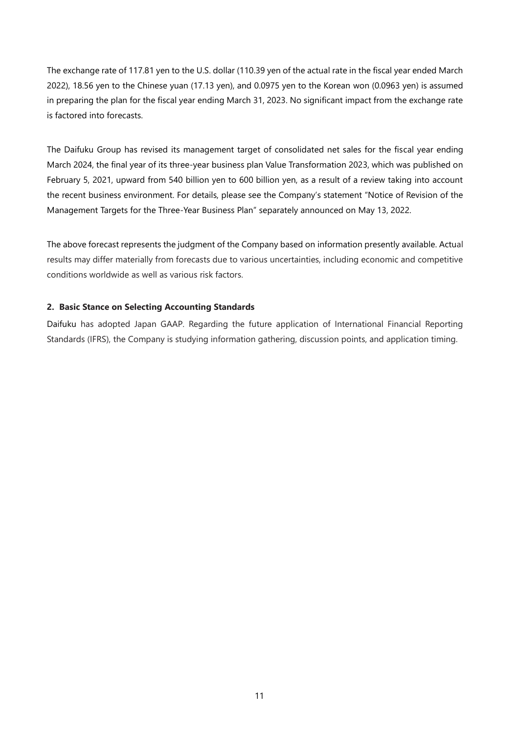The exchange rate of 117.81 yen to the U.S. dollar (110.39 yen of the actual rate in the fiscal year ended March 2022), 18.56 yen to the Chinese yuan (17.13 yen), and 0.0975 yen to the Korean won (0.0963 yen) is assumed in preparing the plan for the fiscal year ending March 31, 2023. No significant impact from the exchange rate is factored into forecasts.

The Daifuku Group has revised its management target of consolidated net sales for the fiscal year ending March 2024, the final year of its three-year business plan Value Transformation 2023, which was published on February 5, 2021, upward from 540 billion yen to 600 billion yen, as a result of a review taking into account the recent business environment. For details, please see the Company's statement "Notice of Revision of the Management Targets for the Three-Year Business Plan" separately announced on May 13, 2022.

The above forecast represents the judgment of the Company based on information presently available. Actual results may differ materially from forecasts due to various uncertainties, including economic and competitive conditions worldwide as well as various risk factors.

## **2. Basic Stance on Selecting Accounting Standards**

Daifuku has adopted Japan GAAP. Regarding the future application of International Financial Reporting Standards (IFRS), the Company is studying information gathering, discussion points, and application timing.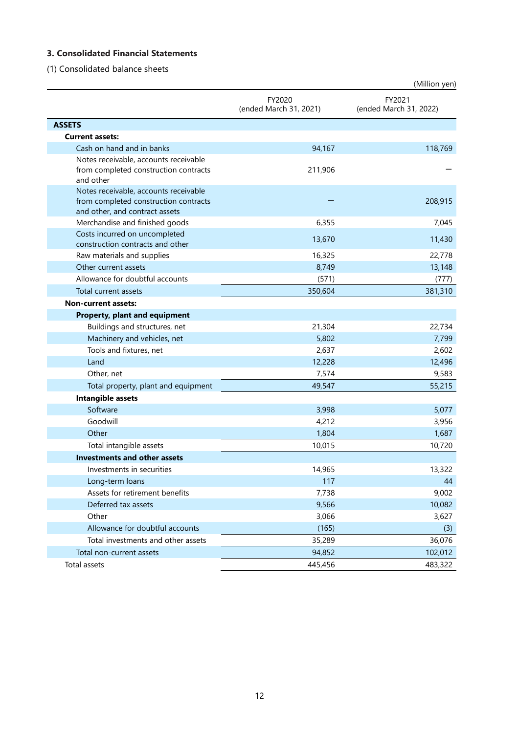# **3. Consolidated Financial Statements**

(1) Consolidated balance sheets

|                                                                                                                  |                                  | (Million yen)                    |
|------------------------------------------------------------------------------------------------------------------|----------------------------------|----------------------------------|
|                                                                                                                  | FY2020<br>(ended March 31, 2021) | FY2021<br>(ended March 31, 2022) |
| <b>ASSETS</b>                                                                                                    |                                  |                                  |
| <b>Current assets:</b>                                                                                           |                                  |                                  |
| Cash on hand and in banks                                                                                        | 94,167                           | 118,769                          |
| Notes receivable, accounts receivable<br>from completed construction contracts<br>and other                      | 211,906                          |                                  |
| Notes receivable, accounts receivable<br>from completed construction contracts<br>and other, and contract assets |                                  | 208,915                          |
| Merchandise and finished goods                                                                                   | 6,355                            | 7,045                            |
| Costs incurred on uncompleted<br>construction contracts and other                                                | 13,670                           | 11,430                           |
| Raw materials and supplies                                                                                       | 16,325                           | 22,778                           |
| Other current assets                                                                                             | 8,749                            | 13,148                           |
| Allowance for doubtful accounts                                                                                  | (571)                            | (777)                            |
| Total current assets                                                                                             | 350,604                          | 381,310                          |
| <b>Non-current assets:</b>                                                                                       |                                  |                                  |
| <b>Property, plant and equipment</b>                                                                             |                                  |                                  |
| Buildings and structures, net                                                                                    | 21,304                           | 22,734                           |
| Machinery and vehicles, net                                                                                      | 5,802                            | 7,799                            |
| Tools and fixtures, net                                                                                          | 2,637                            | 2,602                            |
| Land                                                                                                             | 12,228                           | 12,496                           |
| Other, net                                                                                                       | 7,574                            | 9,583                            |
| Total property, plant and equipment                                                                              | 49,547                           | 55,215                           |
| Intangible assets                                                                                                |                                  |                                  |
| Software                                                                                                         | 3,998                            | 5,077                            |
| Goodwill                                                                                                         | 4,212                            | 3,956                            |
| Other                                                                                                            | 1,804                            | 1,687                            |
| Total intangible assets                                                                                          | 10,015                           | 10,720                           |
| <b>Investments and other assets</b>                                                                              |                                  |                                  |
| Investments in securities                                                                                        | 14,965                           | 13,322                           |
| Long-term loans                                                                                                  | 117                              | 44                               |
| Assets for retirement benefits                                                                                   | 7,738                            | 9,002                            |
| Deferred tax assets                                                                                              | 9,566                            | 10,082                           |
| Other                                                                                                            | 3,066                            | 3,627                            |
| Allowance for doubtful accounts                                                                                  | (165)                            | (3)                              |
| Total investments and other assets                                                                               | 35,289                           | 36,076                           |
| Total non-current assets                                                                                         | 94,852                           | 102,012                          |
| Total assets                                                                                                     | 445,456                          | 483,322                          |

12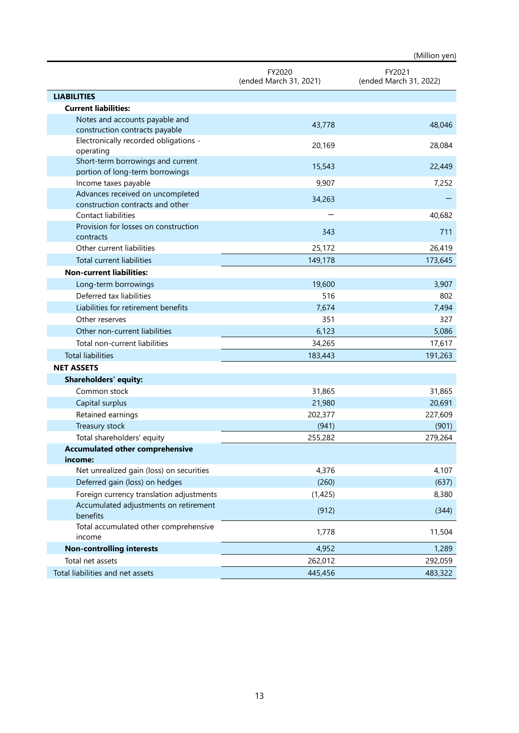|                                                                      |                                  | (Million yen)                    |
|----------------------------------------------------------------------|----------------------------------|----------------------------------|
|                                                                      | FY2020<br>(ended March 31, 2021) | FY2021<br>(ended March 31, 2022) |
| <b>LIABILITIES</b>                                                   |                                  |                                  |
| <b>Current liabilities:</b>                                          |                                  |                                  |
| Notes and accounts payable and<br>construction contracts payable     | 43,778                           | 48,046                           |
| Electronically recorded obligations -<br>operating                   | 20,169                           | 28,084                           |
| Short-term borrowings and current<br>portion of long-term borrowings | 15,543                           | 22,449                           |
| Income taxes payable                                                 | 9,907                            | 7,252                            |
| Advances received on uncompleted<br>construction contracts and other | 34,263                           |                                  |
| Contact liabilities                                                  |                                  | 40,682                           |
| Provision for losses on construction<br>contracts                    | 343                              | 711                              |
| Other current liabilities                                            | 25,172                           | 26,419                           |
| <b>Total current liabilities</b>                                     | 149,178                          | 173,645                          |
| <b>Non-current liabilities:</b>                                      |                                  |                                  |
| Long-term borrowings                                                 | 19,600                           | 3,907                            |
| Deferred tax liabilities                                             | 516                              | 802                              |
| Liabilities for retirement benefits                                  | 7,674                            | 7,494                            |
| Other reserves                                                       | 351                              | 327                              |
| Other non-current liabilities                                        | 6,123                            | 5,086                            |
| Total non-current liabilities                                        | 34,265                           | 17,617                           |
| <b>Total liabilities</b>                                             | 183,443                          | 191,263                          |
| <b>NET ASSETS</b>                                                    |                                  |                                  |
| Shareholders' equity:                                                |                                  |                                  |
| Common stock                                                         | 31,865                           | 31,865                           |
| Capital surplus                                                      | 21,980                           | 20,691                           |
| Retained earnings                                                    | 202,377                          | 227,609                          |
| Treasury stock                                                       | (941)                            | (901)                            |
| Total shareholders' equity                                           | 255,282                          | 279,264                          |
| <b>Accumulated other comprehensive</b>                               |                                  |                                  |
| income:                                                              |                                  |                                  |
| Net unrealized gain (loss) on securities                             | 4,376                            | 4,107                            |
| Deferred gain (loss) on hedges                                       | (260)                            | (637)                            |
| Foreign currency translation adjustments                             | (1,425)                          | 8,380                            |
| Accumulated adjustments on retirement<br>benefits                    | (912)                            | (344)                            |
| Total accumulated other comprehensive<br>income                      | 1,778                            | 11,504                           |
| <b>Non-controlling interests</b>                                     | 4,952                            | 1,289                            |
| Total net assets                                                     | 262,012                          | 292,059                          |
| Total liabilities and net assets                                     | 445,456                          | 483,322                          |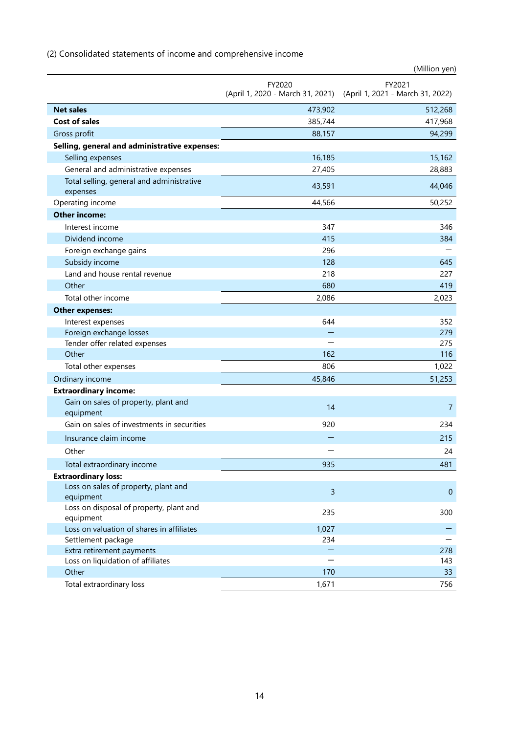|                                                      |                | (Million yen)                                                     |
|------------------------------------------------------|----------------|-------------------------------------------------------------------|
|                                                      | FY2020         | FY2021                                                            |
|                                                      |                | (April 1, 2020 - March 31, 2021) (April 1, 2021 - March 31, 2022) |
| <b>Net sales</b>                                     | 473,902        | 512,268                                                           |
| <b>Cost of sales</b>                                 | 385,744        | 417,968                                                           |
| Gross profit                                         | 88,157         | 94,299                                                            |
| Selling, general and administrative expenses:        |                |                                                                   |
| Selling expenses                                     | 16,185         | 15,162                                                            |
| General and administrative expenses                  | 27,405         | 28,883                                                            |
| Total selling, general and administrative            | 43,591         | 44,046                                                            |
| expenses                                             |                |                                                                   |
| Operating income                                     | 44,566         | 50,252                                                            |
| <b>Other income:</b>                                 |                |                                                                   |
| Interest income                                      | 347            | 346                                                               |
| Dividend income                                      | 415            | 384                                                               |
| Foreign exchange gains                               | 296            |                                                                   |
| Subsidy income                                       | 128            | 645                                                               |
| Land and house rental revenue                        | 218            | 227                                                               |
| Other                                                | 680            | 419                                                               |
| Total other income                                   | 2,086          | 2,023                                                             |
| <b>Other expenses:</b>                               |                |                                                                   |
| Interest expenses                                    | 644            | 352                                                               |
| Foreign exchange losses                              |                | 279                                                               |
| Tender offer related expenses                        |                | 275                                                               |
| Other                                                | 162            | 116                                                               |
| Total other expenses                                 | 806            | 1,022                                                             |
| Ordinary income                                      | 45,846         | 51,253                                                            |
| <b>Extraordinary income:</b>                         |                |                                                                   |
| Gain on sales of property, plant and                 | 14             | $\overline{7}$                                                    |
| equipment                                            |                |                                                                   |
| Gain on sales of investments in securities           | 920            | 234                                                               |
| Insurance claim income                               |                | 215                                                               |
| Other                                                |                | 24                                                                |
| Total extraordinary income                           | 935            | 481                                                               |
| <b>Extraordinary loss:</b>                           |                |                                                                   |
| Loss on sales of property, plant and                 | $\overline{3}$ | $\mathbf{0}$                                                      |
| equipment                                            |                |                                                                   |
| Loss on disposal of property, plant and<br>equipment | 235            | 300                                                               |
| Loss on valuation of shares in affiliates            | 1,027          |                                                                   |
| Settlement package                                   | 234            |                                                                   |
| Extra retirement payments                            |                | 278                                                               |
| Loss on liquidation of affiliates                    |                | 143                                                               |
| Other                                                | 170            | 33                                                                |
| Total extraordinary loss                             | 1,671          | 756                                                               |

# (2) Consolidated statements of income and comprehensive income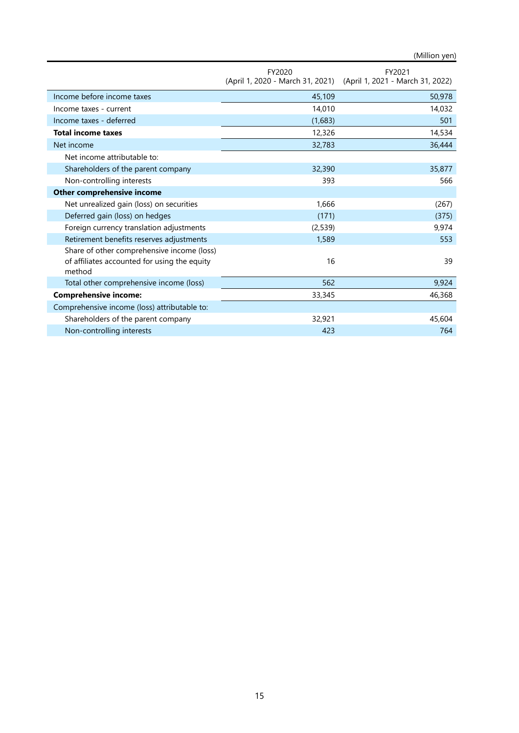(Million yen)

|                                                                                                      | FY2020                           | FY2021                           |
|------------------------------------------------------------------------------------------------------|----------------------------------|----------------------------------|
|                                                                                                      | (April 1, 2020 - March 31, 2021) | (April 1, 2021 - March 31, 2022) |
| Income before income taxes                                                                           | 45,109                           | 50,978                           |
| Income taxes - current                                                                               | 14,010                           | 14,032                           |
| Income taxes - deferred                                                                              | (1,683)                          | 501                              |
| <b>Total income taxes</b>                                                                            | 12,326                           | 14,534                           |
| Net income                                                                                           | 32,783                           | 36,444                           |
| Net income attributable to:                                                                          |                                  |                                  |
| Shareholders of the parent company                                                                   | 32,390                           | 35,877                           |
| Non-controlling interests                                                                            | 393                              | 566                              |
| Other comprehensive income                                                                           |                                  |                                  |
| Net unrealized gain (loss) on securities                                                             | 1,666                            | (267)                            |
| Deferred gain (loss) on hedges                                                                       | (171)                            | (375)                            |
| Foreign currency translation adjustments                                                             | (2,539)                          | 9,974                            |
| Retirement benefits reserves adjustments                                                             | 1,589                            | 553                              |
| Share of other comprehensive income (loss)<br>of affiliates accounted for using the equity<br>method | 16                               | 39                               |
| Total other comprehensive income (loss)                                                              | 562                              | 9,924                            |
| <b>Comprehensive income:</b>                                                                         | 33,345                           | 46,368                           |
| Comprehensive income (loss) attributable to:                                                         |                                  |                                  |
| Shareholders of the parent company                                                                   | 32,921                           | 45,604                           |
| Non-controlling interests                                                                            | 423                              | 764                              |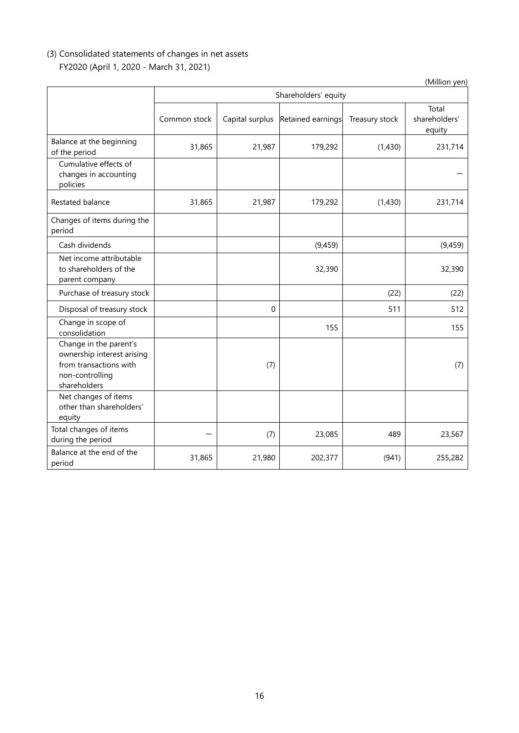# (3) Consolidated statements of changes in net assets FY2020 (April 1, 2020 - March 31, 2021)

|                                                                                                                   |              |                      |                   |                | (Million yen)                    |  |
|-------------------------------------------------------------------------------------------------------------------|--------------|----------------------|-------------------|----------------|----------------------------------|--|
|                                                                                                                   |              | Shareholders' equity |                   |                |                                  |  |
|                                                                                                                   | Common stock | Capital surplus      | Retained earnings | Treasury stock | Total<br>shareholders'<br>equity |  |
| Balance at the beginning<br>of the period                                                                         | 31,865       | 21,987               | 179,292           | (1,430)        | 231,714                          |  |
| Cumulative effects of<br>changes in accounting<br>policies                                                        |              |                      |                   |                |                                  |  |
| Restated balance                                                                                                  | 31,865       | 21,987               | 179,292           | (1,430)        | 231,714                          |  |
| Changes of items during the<br>period                                                                             |              |                      |                   |                |                                  |  |
| Cash dividends                                                                                                    |              |                      | (9, 459)          |                | (9, 459)                         |  |
| Net income attributable<br>to shareholders of the<br>parent company                                               |              |                      | 32,390            |                | 32,390                           |  |
| Purchase of treasury stock                                                                                        |              |                      |                   | (22)           | (22)                             |  |
| Disposal of treasury stock                                                                                        |              | $\mathbf 0$          |                   | 511            | 512                              |  |
| Change in scope of<br>consolidation                                                                               |              |                      | 155               |                | 155                              |  |
| Change in the parent's<br>ownership interest arising<br>from transactions with<br>non-controlling<br>shareholders |              | (7)                  |                   |                | (7)                              |  |
| Net changes of items<br>other than shareholders'<br>equity                                                        |              |                      |                   |                |                                  |  |
| Total changes of items<br>during the period                                                                       |              | (7)                  | 23,085            | 489            | 23,567                           |  |
| Balance at the end of the<br>period                                                                               | 31,865       | 21,980               | 202,377           | (941)          | 255,282                          |  |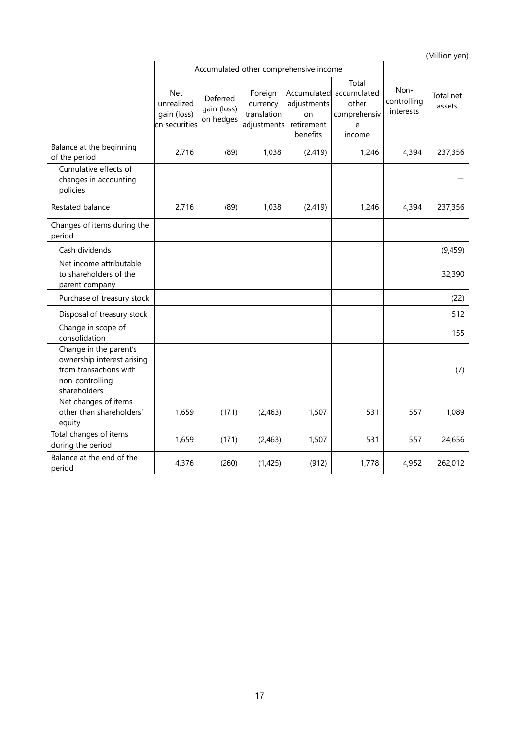|                                                                                                                   |                                                          |                                        |                                                   |                                             |                                                                          |                                  | (Million yen)       |
|-------------------------------------------------------------------------------------------------------------------|----------------------------------------------------------|----------------------------------------|---------------------------------------------------|---------------------------------------------|--------------------------------------------------------------------------|----------------------------------|---------------------|
|                                                                                                                   |                                                          | Accumulated other comprehensive income |                                                   |                                             |                                                                          |                                  |                     |
|                                                                                                                   | <b>Net</b><br>unrealized<br>gain (loss)<br>on securities | Deferred<br>gain (loss)<br>on hedges   | Foreign<br>currency<br>translation<br>adjustments | adjustments<br>on<br>retirement<br>benefits | Total<br>Accumulated accumulated<br>other<br>comprehensiv<br>e<br>income | Non-<br>controlling<br>interests | Total net<br>assets |
| Balance at the beginning<br>of the period                                                                         | 2,716                                                    | (89)                                   | 1,038                                             | (2, 419)                                    | 1,246                                                                    | 4,394                            | 237,356             |
| Cumulative effects of<br>changes in accounting<br>policies                                                        |                                                          |                                        |                                                   |                                             |                                                                          |                                  |                     |
| Restated balance                                                                                                  | 2,716                                                    | (89)                                   | 1,038                                             | (2, 419)                                    | 1,246                                                                    | 4,394                            | 237,356             |
| Changes of items during the<br>period                                                                             |                                                          |                                        |                                                   |                                             |                                                                          |                                  |                     |
| Cash dividends                                                                                                    |                                                          |                                        |                                                   |                                             |                                                                          |                                  | (9, 459)            |
| Net income attributable<br>to shareholders of the<br>parent company                                               |                                                          |                                        |                                                   |                                             |                                                                          |                                  | 32,390              |
| Purchase of treasury stock                                                                                        |                                                          |                                        |                                                   |                                             |                                                                          |                                  | (22)                |
| Disposal of treasury stock                                                                                        |                                                          |                                        |                                                   |                                             |                                                                          |                                  | 512                 |
| Change in scope of<br>consolidation                                                                               |                                                          |                                        |                                                   |                                             |                                                                          |                                  | 155                 |
| Change in the parent's<br>ownership interest arising<br>from transactions with<br>non-controlling<br>shareholders |                                                          |                                        |                                                   |                                             |                                                                          |                                  | (7)                 |
| Net changes of items<br>other than shareholders'<br>equity                                                        | 1,659                                                    | (171)                                  | (2,463)                                           | 1,507                                       | 531                                                                      | 557                              | 1,089               |
| Total changes of items<br>during the period                                                                       | 1,659                                                    | (171)                                  | (2, 463)                                          | 1,507                                       | 531                                                                      | 557                              | 24,656              |
| Balance at the end of the<br>period                                                                               | 4,376                                                    | (260)                                  | (1,425)                                           | (912)                                       | 1,778                                                                    | 4,952                            | 262,012             |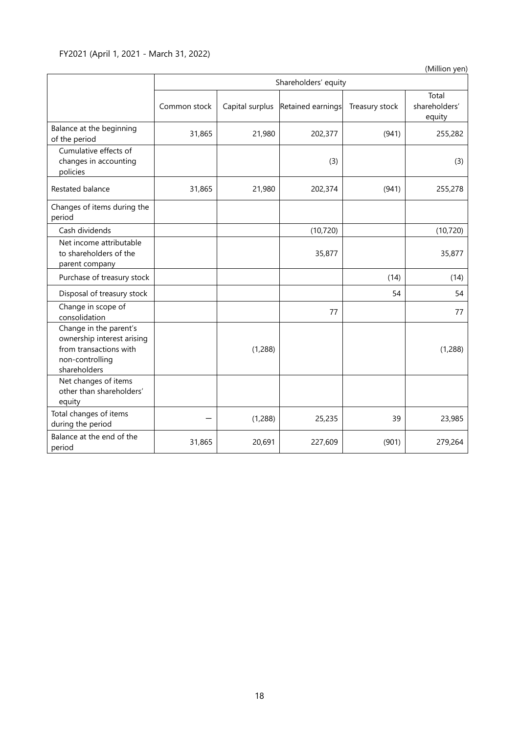# FY2021 (April 1, 2021 - March 31, 2022)

(Million yen)

|                                                                                                                   |              | Shareholders' equity |                   |                |                                  |  |
|-------------------------------------------------------------------------------------------------------------------|--------------|----------------------|-------------------|----------------|----------------------------------|--|
|                                                                                                                   | Common stock | Capital surplus      | Retained earnings | Treasury stock | Total<br>shareholders'<br>equity |  |
| Balance at the beginning<br>of the period                                                                         | 31,865       | 21,980               | 202,377           | (941)          | 255,282                          |  |
| Cumulative effects of<br>changes in accounting<br>policies                                                        |              |                      | (3)               |                | (3)                              |  |
| Restated balance                                                                                                  | 31,865       | 21,980               | 202,374           | (941)          | 255,278                          |  |
| Changes of items during the<br>period                                                                             |              |                      |                   |                |                                  |  |
| Cash dividends                                                                                                    |              |                      | (10, 720)         |                | (10, 720)                        |  |
| Net income attributable<br>to shareholders of the<br>parent company                                               |              |                      | 35,877            |                | 35,877                           |  |
| Purchase of treasury stock                                                                                        |              |                      |                   | (14)           | (14)                             |  |
| Disposal of treasury stock                                                                                        |              |                      |                   | 54             | 54                               |  |
| Change in scope of<br>consolidation                                                                               |              |                      | 77                |                | 77                               |  |
| Change in the parent's<br>ownership interest arising<br>from transactions with<br>non-controlling<br>shareholders |              | (1,288)              |                   |                | (1,288)                          |  |
| Net changes of items<br>other than shareholders'<br>equity                                                        |              |                      |                   |                |                                  |  |
| Total changes of items<br>during the period                                                                       |              | (1, 288)             | 25,235            | 39             | 23,985                           |  |
| Balance at the end of the<br>period                                                                               | 31,865       | 20,691               | 227,609           | (901)          | 279,264                          |  |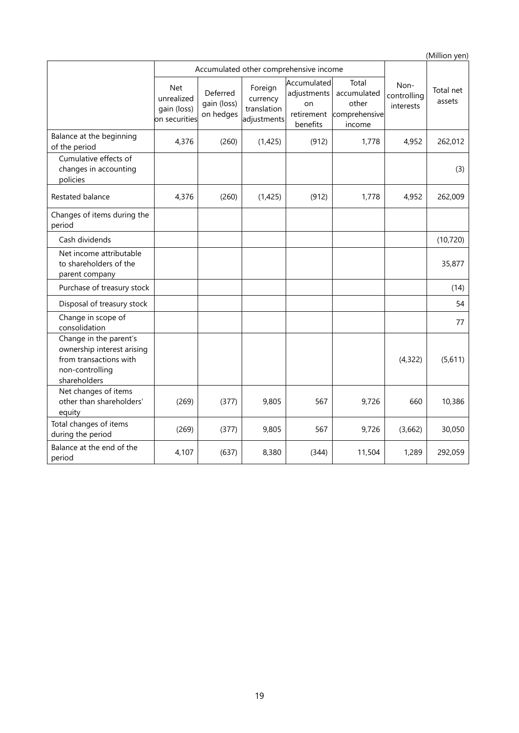(Million yen) Accumulated other comprehensive income Noncontrolling interests Total net assets Net unrealized gain (loss) on securities Deferred gain (loss) on hedges Foreign currency translation adjustments Accumulated adjustments on retirement benefits Total accumulated other comprehensive income Balance at the beginning of the period 4,376 (260) (1,425) (912) 1,778 4,952 262,012 Cumulative effects of changes in accounting policies (3) Restated balance **1** 4,376 (260) (1,425) (912) 1,778 4,952 262,009 Changes of items during the period Cash dividends (10,720) Net income attributable to shareholders of the parent company 35,877 Purchase of treasury stock and the control of the control of the control of the control of the control of the control of the control of the control of the control of the control of the control of the control of the control Disposal of treasury stock 54 Change in scope of change in scope of the consolidation that is a set of the consolidation of the consolidation of the consolidation  $\begin{bmatrix} 1 & 1 & 1 \end{bmatrix}$ Change in the parent's ownership interest arising from transactions with non-controlling shareholders (4,322) (5,611) Net changes of items other than shareholders' equity (269) (377) 9,805 567 9,726 660 10,386 Total changes of items during the period (269) (377) 9,805 567 9,726 (3,662) 30,050 Balance at the end of the period at the end of the  $4,107$  (637) 8,380 (344) 11,504 1,289 292,059 period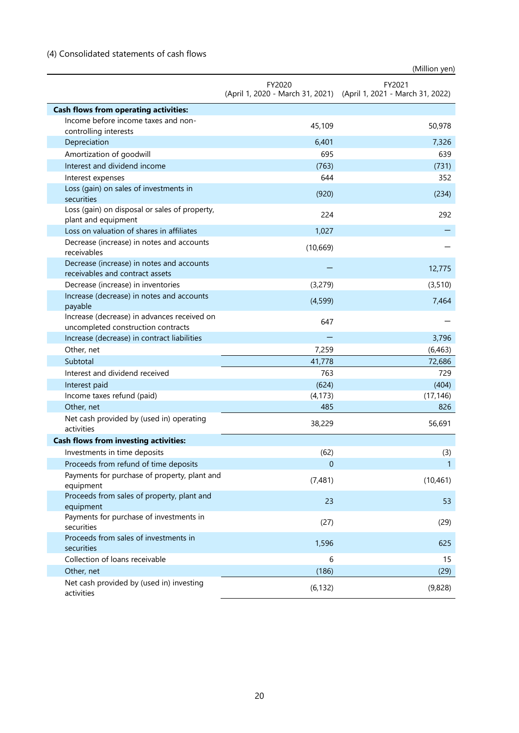# (4) Consolidated statements of cash flows

|                                                                                   |           | (Million yen)                                                               |
|-----------------------------------------------------------------------------------|-----------|-----------------------------------------------------------------------------|
|                                                                                   | FY2020    | FY2021<br>(April 1, 2020 - March 31, 2021) (April 1, 2021 - March 31, 2022) |
| <b>Cash flows from operating activities:</b>                                      |           |                                                                             |
| Income before income taxes and non-<br>controlling interests                      | 45,109    | 50,978                                                                      |
| Depreciation                                                                      | 6,401     | 7,326                                                                       |
| Amortization of goodwill                                                          | 695       | 639                                                                         |
| Interest and dividend income                                                      | (763)     | (731)                                                                       |
| Interest expenses                                                                 | 644       | 352                                                                         |
| Loss (gain) on sales of investments in<br>securities                              | (920)     | (234)                                                                       |
| Loss (gain) on disposal or sales of property,<br>plant and equipment              | 224       | 292                                                                         |
| Loss on valuation of shares in affiliates                                         | 1,027     |                                                                             |
| Decrease (increase) in notes and accounts<br>receivables                          | (10, 669) |                                                                             |
| Decrease (increase) in notes and accounts<br>receivables and contract assets      |           | 12,775                                                                      |
| Decrease (increase) in inventories                                                | (3,279)   | (3, 510)                                                                    |
| Increase (decrease) in notes and accounts<br>payable                              | (4,599)   | 7,464                                                                       |
| Increase (decrease) in advances received on<br>uncompleted construction contracts | 647       |                                                                             |
| Increase (decrease) in contract liabilities                                       |           | 3,796                                                                       |
| Other, net                                                                        | 7,259     | (6, 463)                                                                    |
| Subtotal                                                                          | 41,778    | 72,686                                                                      |
| Interest and dividend received                                                    | 763       | 729                                                                         |
| Interest paid                                                                     | (624)     | (404)                                                                       |
| Income taxes refund (paid)                                                        | (4, 173)  | (17, 146)                                                                   |
| Other, net                                                                        | 485       | 826                                                                         |
| Net cash provided by (used in) operating<br>activities                            | 38,229    | 56,691                                                                      |
| <b>Cash flows from investing activities:</b>                                      |           |                                                                             |
| Investments in time deposits                                                      | (62)      | (3)                                                                         |
| Proceeds from refund of time deposits                                             | 0         | $\mathbf{1}$                                                                |
| Payments for purchase of property, plant and<br>equipment                         | (7,481)   | (10, 461)                                                                   |
| Proceeds from sales of property, plant and<br>equipment                           | 23        | 53                                                                          |
| Payments for purchase of investments in<br>securities                             | (27)      | (29)                                                                        |
| Proceeds from sales of investments in<br>securities                               | 1,596     | 625                                                                         |
| Collection of loans receivable                                                    | 6         | 15                                                                          |
| Other, net                                                                        | (186)     | (29)                                                                        |
| Net cash provided by (used in) investing<br>activities                            | (6, 132)  | (9,828)                                                                     |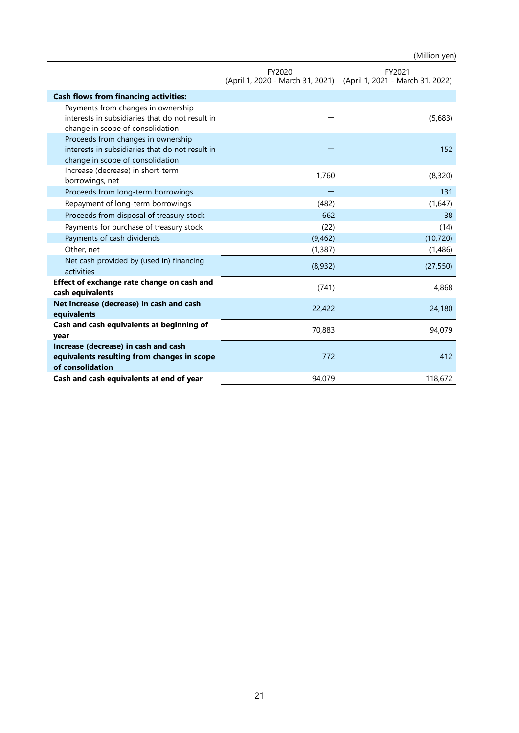|                                                                                                                           | FY2020   | FY2021                                                            |
|---------------------------------------------------------------------------------------------------------------------------|----------|-------------------------------------------------------------------|
|                                                                                                                           |          | (April 1, 2020 - March 31, 2021) (April 1, 2021 - March 31, 2022) |
| <b>Cash flows from financing activities:</b>                                                                              |          |                                                                   |
| Payments from changes in ownership<br>interests in subsidiaries that do not result in<br>change in scope of consolidation |          | (5,683)                                                           |
| Proceeds from changes in ownership<br>interests in subsidiaries that do not result in<br>change in scope of consolidation |          | 152                                                               |
| Increase (decrease) in short-term<br>borrowings, net                                                                      | 1,760    | (8,320)                                                           |
| Proceeds from long-term borrowings                                                                                        |          | 131                                                               |
| Repayment of long-term borrowings                                                                                         | (482)    | (1,647)                                                           |
| Proceeds from disposal of treasury stock                                                                                  | 662      | 38                                                                |
| Payments for purchase of treasury stock                                                                                   | (22)     | (14)                                                              |
| Payments of cash dividends                                                                                                | (9,462)  | (10, 720)                                                         |
| Other, net                                                                                                                | (1, 387) | (1,486)                                                           |
| Net cash provided by (used in) financing<br>activities                                                                    | (8,932)  | (27, 550)                                                         |
| Effect of exchange rate change on cash and<br>cash equivalents                                                            | (741)    | 4,868                                                             |
| Net increase (decrease) in cash and cash<br>equivalents                                                                   | 22,422   | 24,180                                                            |
| Cash and cash equivalents at beginning of<br>year                                                                         | 70,883   | 94,079                                                            |
| Increase (decrease) in cash and cash<br>equivalents resulting from changes in scope<br>of consolidation                   | 772      | 412                                                               |
| Cash and cash equivalents at end of year                                                                                  | 94,079   | 118,672                                                           |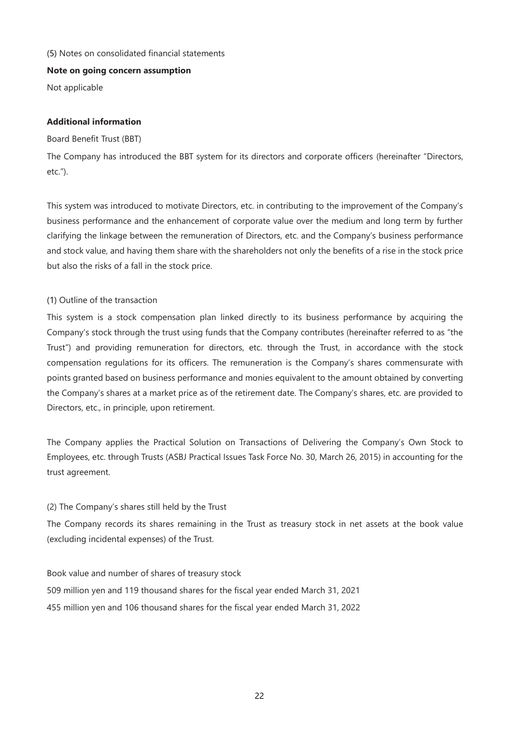## (5) Notes on consolidated financial statements

#### **Note on going concern assumption**

Not applicable

## **Additional information**

#### Board Benefit Trust (BBT)

The Company has introduced the BBT system for its directors and corporate officers (hereinafter "Directors, etc.").

This system was introduced to motivate Directors, etc. in contributing to the improvement of the Company's business performance and the enhancement of corporate value over the medium and long term by further clarifying the linkage between the remuneration of Directors, etc. and the Company's business performance and stock value, and having them share with the shareholders not only the benefits of a rise in the stock price but also the risks of a fall in the stock price.

## (1) Outline of the transaction

This system is a stock compensation plan linked directly to its business performance by acquiring the Company's stock through the trust using funds that the Company contributes (hereinafter referred to as "the Trust") and providing remuneration for directors, etc. through the Trust, in accordance with the stock compensation regulations for its officers. The remuneration is the Company's shares commensurate with points granted based on business performance and monies equivalent to the amount obtained by converting the Company's shares at a market price as of the retirement date. The Company's shares, etc. are provided to Directors, etc., in principle, upon retirement.

The Company applies the Practical Solution on Transactions of Delivering the Company's Own Stock to Employees, etc. through Trusts (ASBJ Practical Issues Task Force No. 30, March 26, 2015) in accounting for the trust agreement.

## (2) The Company's shares still held by the Trust

The Company records its shares remaining in the Trust as treasury stock in net assets at the book value (excluding incidental expenses) of the Trust.

Book value and number of shares of treasury stock 509 million yen and 119 thousand shares for the fiscal year ended March 31, 2021 455 million yen and 106 thousand shares for the fiscal year ended March 31, 2022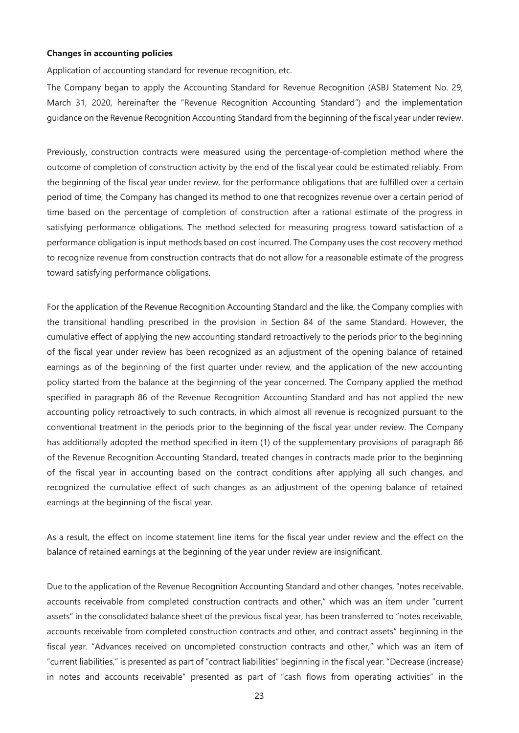#### **Changes in accounting policies**

Application of accounting standard for revenue recognition, etc.

The Company began to apply the Accounting Standard for Revenue Recognition (ASBJ Statement No. 29, March 31, 2020, hereinafter the "Revenue Recognition Accounting Standard") and the implementation guidance on the Revenue Recognition Accounting Standard from the beginning of the fiscal year under review.

Previously, construction contracts were measured using the percentage-of-completion method where the outcome of completion of construction activity by the end of the fiscal year could be estimated reliably. From the beginning of the fiscal year under review, for the performance obligations that are fulfilled over a certain period of time, the Company has changed its method to one that recognizes revenue over a certain period of time based on the percentage of completion of construction after a rational estimate of the progress in satisfying performance obligations. The method selected for measuring progress toward satisfaction of a performance obligation is input methods based on cost incurred. The Company uses the cost recovery method to recognize revenue from construction contracts that do not allow for a reasonable estimate of the progress toward satisfying performance obligations.

For the application of the Revenue Recognition Accounting Standard and the like, the Company complies with the transitional handling prescribed in the provision in Section 84 of the same Standard. However, the cumulative effect of applying the new accounting standard retroactively to the periods prior to the beginning of the fiscal year under review has been recognized as an adjustment of the opening balance of retained earnings as of the beginning of the first quarter under review, and the application of the new accounting policy started from the balance at the beginning of the year concerned. The Company applied the method specified in paragraph 86 of the Revenue Recognition Accounting Standard and has not applied the new accounting policy retroactively to such contracts, in which almost all revenue is recognized pursuant to the conventional treatment in the periods prior to the beginning of the fiscal year under review. The Company has additionally adopted the method specified in item (1) of the supplementary provisions of paragraph 86 of the Revenue Recognition Accounting Standard, treated changes in contracts made prior to the beginning of the fiscal year in accounting based on the contract conditions after applying all such changes, and recognized the cumulative effect of such changes as an adjustment of the opening balance of retained earnings at the beginning of the fiscal year.

As a result, the effect on income statement line items for the fiscal year under review and the effect on the balance of retained earnings at the beginning of the year under review are insignificant.

Due to the application of the Revenue Recognition Accounting Standard and other changes, "notes receivable, accounts receivable from completed construction contracts and other," which was an item under "current assets" in the consolidated balance sheet of the previous fiscal year, has been transferred to "notes receivable, accounts receivable from completed construction contracts and other, and contract assets" beginning in the fiscal year. "Advances received on uncompleted construction contracts and other," which was an item of "current liabilities," is presented as part of "contract liabilities" beginning in the fiscal year. "Decrease (increase) in notes and accounts receivable" presented as part of "cash flows from operating activities" in the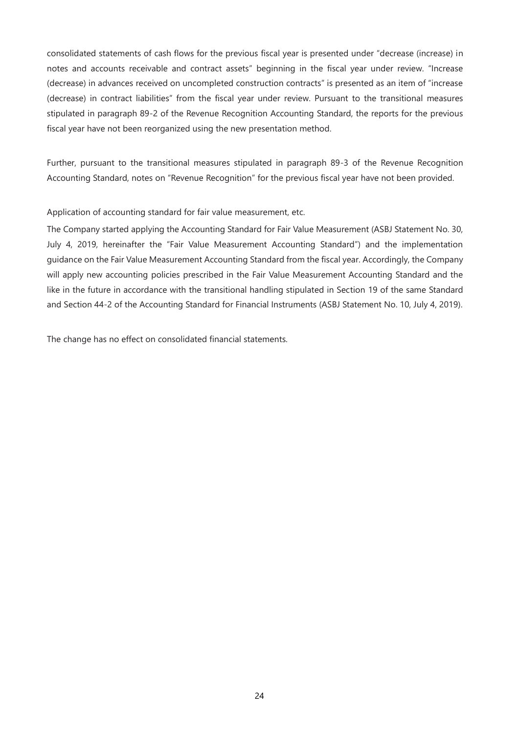consolidated statements of cash flows for the previous fiscal year is presented under "decrease (increase) in notes and accounts receivable and contract assets" beginning in the fiscal year under review. "Increase (decrease) in advances received on uncompleted construction contracts" is presented as an item of "increase (decrease) in contract liabilities" from the fiscal year under review. Pursuant to the transitional measures stipulated in paragraph 89-2 of the Revenue Recognition Accounting Standard, the reports for the previous fiscal year have not been reorganized using the new presentation method.

Further, pursuant to the transitional measures stipulated in paragraph 89-3 of the Revenue Recognition Accounting Standard, notes on "Revenue Recognition" for the previous fiscal year have not been provided.

Application of accounting standard for fair value measurement, etc.

The Company started applying the Accounting Standard for Fair Value Measurement (ASBJ Statement No. 30, July 4, 2019, hereinafter the "Fair Value Measurement Accounting Standard") and the implementation guidance on the Fair Value Measurement Accounting Standard from the fiscal year. Accordingly, the Company will apply new accounting policies prescribed in the Fair Value Measurement Accounting Standard and the like in the future in accordance with the transitional handling stipulated in Section 19 of the same Standard and Section 44-2 of the Accounting Standard for Financial Instruments (ASBJ Statement No. 10, July 4, 2019).

The change has no effect on consolidated financial statements.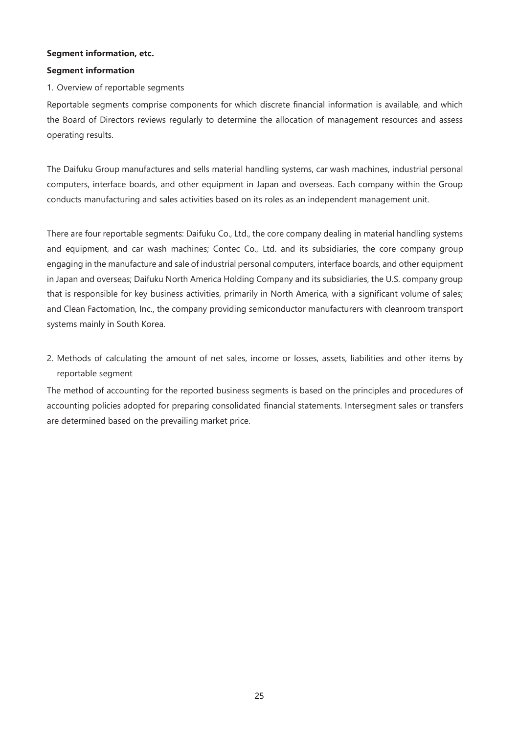## **Segment information, etc.**

#### **Segment information**

#### 1. Overview of reportable segments

Reportable segments comprise components for which discrete financial information is available, and which the Board of Directors reviews regularly to determine the allocation of management resources and assess operating results.

The Daifuku Group manufactures and sells material handling systems, car wash machines, industrial personal computers, interface boards, and other equipment in Japan and overseas. Each company within the Group conducts manufacturing and sales activities based on its roles as an independent management unit.

There are four reportable segments: Daifuku Co., Ltd., the core company dealing in material handling systems and equipment, and car wash machines; Contec Co., Ltd. and its subsidiaries, the core company group engaging in the manufacture and sale of industrial personal computers, interface boards, and other equipment in Japan and overseas; Daifuku North America Holding Company and its subsidiaries, the U.S. company group that is responsible for key business activities, primarily in North America, with a significant volume of sales; and Clean Factomation, Inc., the company providing semiconductor manufacturers with cleanroom transport systems mainly in South Korea.

2. Methods of calculating the amount of net sales, income or losses, assets, liabilities and other items by reportable segment

The method of accounting for the reported business segments is based on the principles and procedures of accounting policies adopted for preparing consolidated financial statements. Intersegment sales or transfers are determined based on the prevailing market price.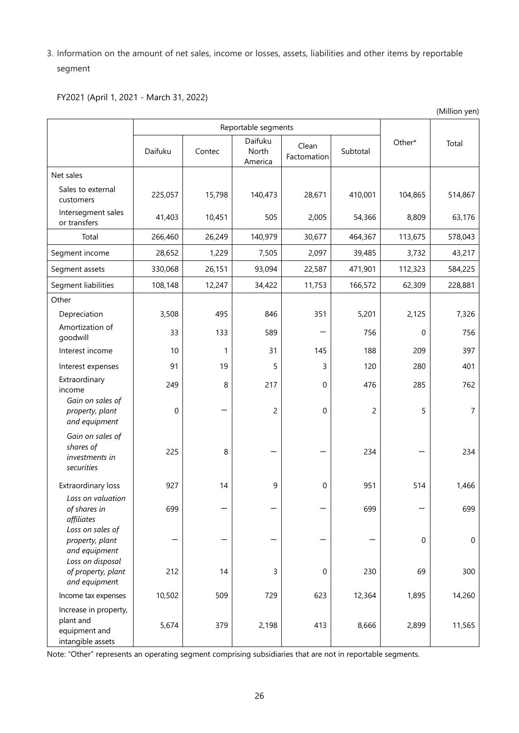3. Information on the amount of net sales, income or losses, assets, liabilities and other items by reportable segment

(Million yen)

FY2021 (April 1, 2021 - March 31, 2022)

|                                                                          | Reportable segments |        |                             |                      |                |                  |         |
|--------------------------------------------------------------------------|---------------------|--------|-----------------------------|----------------------|----------------|------------------|---------|
|                                                                          | Daifuku             | Contec | Daifuku<br>North<br>America | Clean<br>Factomation | Subtotal       | Other*           | Total   |
| Net sales                                                                |                     |        |                             |                      |                |                  |         |
| Sales to external<br>customers                                           | 225,057             | 15,798 | 140,473                     | 28,671               | 410,001        | 104,865          | 514,867 |
| Intersegment sales<br>or transfers                                       | 41,403              | 10,451 | 505                         | 2,005                | 54,366         | 8,809            | 63,176  |
| Total                                                                    | 266,460             | 26,249 | 140,979                     | 30,677               | 464,367        | 113,675          | 578,043 |
| Segment income                                                           | 28,652              | 1,229  | 7,505                       | 2,097                | 39,485         | 3,732            | 43,217  |
| Segment assets                                                           | 330,068             | 26,151 | 93,094                      | 22,587               | 471,901        | 112,323          | 584,225 |
| Segment liabilities                                                      | 108,148             | 12,247 | 34,422                      | 11,753               | 166,572        | 62,309           | 228,881 |
| Other                                                                    |                     |        |                             |                      |                |                  |         |
| Depreciation                                                             | 3,508               | 495    | 846                         | 351                  | 5,201          | 2,125            | 7,326   |
| Amortization of<br>goodwill                                              | 33                  | 133    | 589                         |                      | 756            | $\Omega$         | 756     |
| Interest income                                                          | 10                  | 1      | 31                          | 145                  | 188            | 209              | 397     |
| Interest expenses                                                        | 91                  | 19     | 5                           | 3                    | 120            | 280              | 401     |
| Extraordinary<br>income<br>Gain on sales of                              | 249                 | 8      | 217                         | $\Omega$             | 476            | 285              | 762     |
| property, plant<br>and equipment                                         | $\boldsymbol{0}$    |        | $\overline{c}$              | $\mathbf 0$          | $\overline{c}$ | 5                | 7       |
| Gain on sales of<br>shares of<br>investments in<br>securities            | 225                 | 8      |                             |                      | 234            |                  | 234     |
| Extraordinary loss                                                       | 927                 | 14     | 9                           | $\boldsymbol{0}$     | 951            | 514              | 1,466   |
| Loss on valuation<br>of shares in<br>affiliates                          | 699                 |        |                             |                      | 699            |                  | 699     |
| Loss on sales of<br>property, plant<br>and equipment<br>Loss on disposal |                     |        |                             |                      |                | $\boldsymbol{0}$ | 0       |
| of property, plant<br>and equipment                                      | 212                 | 14     | 3                           | $\boldsymbol{0}$     | 230            | 69               | 300     |
| Income tax expenses                                                      | 10,502              | 509    | 729                         | 623                  | 12,364         | 1,895            | 14,260  |
| Increase in property,<br>plant and<br>equipment and<br>intangible assets | 5,674               | 379    | 2,198                       | 413                  | 8,666          | 2,899            | 11,565  |

Note: "Other" represents an operating segment comprising subsidiaries that are not in reportable segments.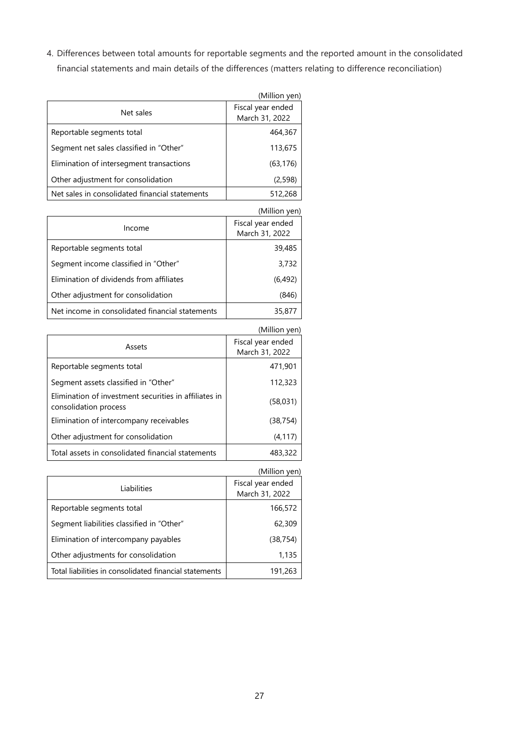4. Differences between total amounts for reportable segments and the reported amount in the consolidated financial statements and main details of the differences (matters relating to difference reconciliation)

|                                                | (Million yen)                       |
|------------------------------------------------|-------------------------------------|
| Net sales                                      | Fiscal year ended<br>March 31, 2022 |
| Reportable segments total                      | 464,367                             |
| Segment net sales classified in "Other"        | 113,675                             |
| Elimination of intersegment transactions       | (63, 176)                           |
| Other adjustment for consolidation             | (2,598)                             |
| Net sales in consolidated financial statements | 512,268                             |

|                                                 | (Million yen)                       |
|-------------------------------------------------|-------------------------------------|
| Income                                          | Fiscal year ended<br>March 31, 2022 |
| Reportable segments total                       | 39,485                              |
| Segment income classified in "Other"            | 3.732                               |
| Elimination of dividends from affiliates        | (6,492)                             |
| Other adjustment for consolidation              | (846)                               |
| Net income in consolidated financial statements | 35,877                              |

|                                                                                | (Million yen)                       |
|--------------------------------------------------------------------------------|-------------------------------------|
| Assets                                                                         | Fiscal year ended<br>March 31, 2022 |
| Reportable segments total                                                      | 471.901                             |
| Segment assets classified in "Other"                                           | 112,323                             |
| Elimination of investment securities in affiliates in<br>consolidation process | (58,031)                            |
| Elimination of intercompany receivables                                        | (38, 754)                           |
| Other adjustment for consolidation                                             | (4, 117)                            |
| Total assets in consolidated financial statements                              | 483,322                             |

|                                                        | (Million yen)                       |
|--------------------------------------------------------|-------------------------------------|
| Liabilities                                            | Fiscal year ended<br>March 31, 2022 |
| Reportable segments total                              | 166,572                             |
| Segment liabilities classified in "Other"              | 62,309                              |
| Elimination of intercompany payables                   | (38, 754)                           |
| Other adjustments for consolidation                    | 1,135                               |
| Total liabilities in consolidated financial statements | 191,263                             |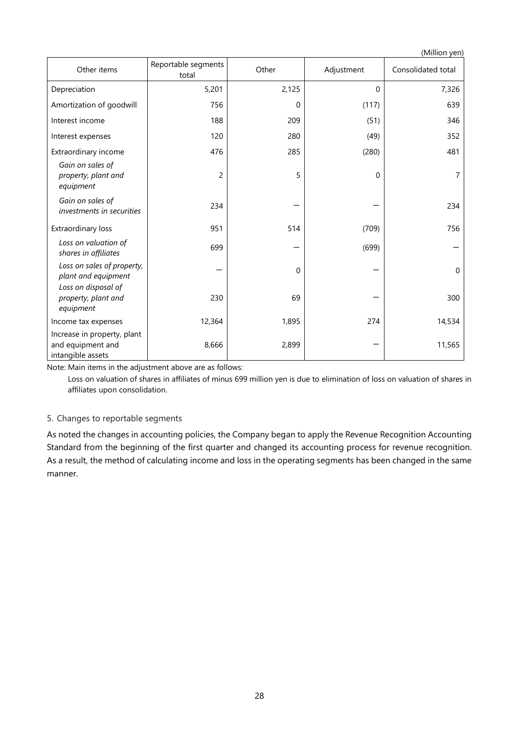(Million yen) Other items **Reportable segments** Other | Adjustment | Consolidated total Depreciation 5,201 | 2,125 | 0 | 7,326 Amortization of goodwill | 756 | 76 | 0 | 117 | 639 Interest income 188 209 (51) 346 Interest expenses 120 280 280 (49) 352 Extraordinary income (280) 285 (280) 481 *Gain on sales of property, plant and equipment* 2 | 5 | 0 | 7 *Gain on sales of investments in securities*  $\begin{vmatrix} 234 & 234 \end{vmatrix}$   $\begin{vmatrix} -1 & 234 \end{vmatrix}$   $\begin{vmatrix} -1 & 234 \end{vmatrix}$  234 Extraordinary loss 1.0 (756 million 1951 million 1951 million 1951 million 1956 million 1956 million 1956 million 1956 million 1956 million 1956 million 1956 million 1956 million 1956 million 1956 million 1957 million 1958 *Loss on valuation of shares in affiliates* **699** - (699) - (699) - (699) - (699) - (699) - (699) - (699) - (699) - (699) - (699) - (699) - (699) - (699) - (699) - (699) - (699) - (699) - (699) - (699) - (699) - (699) - (699) - (699) - (699) -*Loss on sales of property,*  plant and equipment and equipment and equipment and the contract of the contract of the contract of the contract o<br>  $p$  of the contract of the contract of the contract of the contract of the contract of the contract of the *Loss on disposal of property, plant and equipment*  $230$  69  $-$  300 Income tax expenses 12,364 1,895 274 14,534 Increase in property, plant and equipment and intangible assets  $8,666$  2,899 - 2,899 - 11,565

Note: Main items in the adjustment above are as follows:

Loss on valuation of shares in affiliates of minus 699 million yen is due to elimination of loss on valuation of shares in affiliates upon consolidation.

## 5. Changes to reportable segments

As noted the changes in accounting policies, the Company began to apply the Revenue Recognition Accounting Standard from the beginning of the first quarter and changed its accounting process for revenue recognition. As a result, the method of calculating income and loss in the operating segments has been changed in the same manner.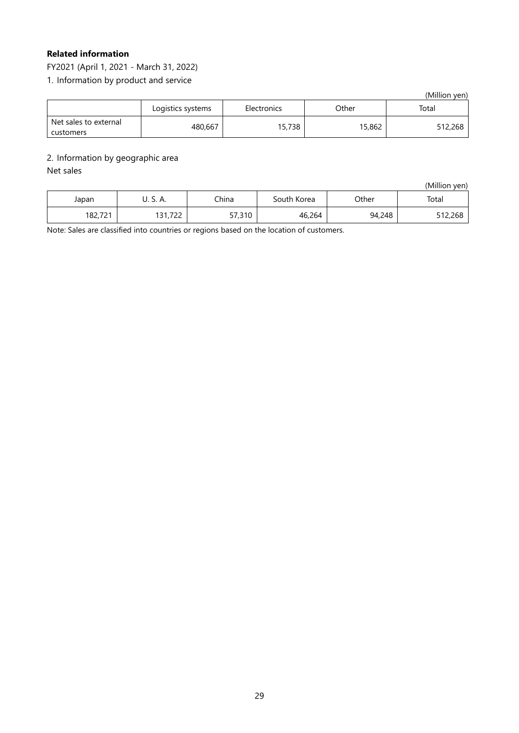# **Related information**

FY2021 (April 1, 2021 - March 31, 2022)

1. Information by product and service

(Million yen)

|                                    | Logistics systems | Electronics | Other  | Total   |
|------------------------------------|-------------------|-------------|--------|---------|
| Net sales to external<br>customers | 480,667           | 15,738      | 15,862 | 512,268 |

## 2. Information by geographic area

## Net sales

(Million yen)

| Japan   | U. J. M.               | China  | South Korea | Other  | Total   |
|---------|------------------------|--------|-------------|--------|---------|
| 182,721 | 722<br>וי הו<br>171175 | 57,310 | 46,264      | 94,248 | 512,268 |

Note: Sales are classified into countries or regions based on the location of customers.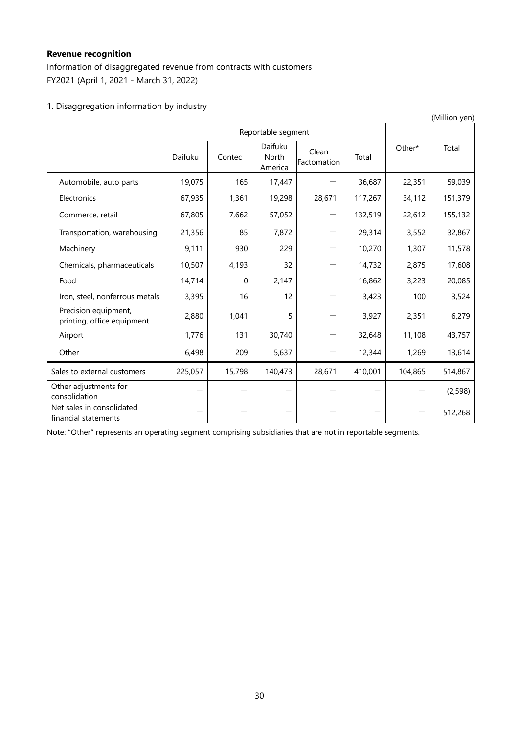# **Revenue recognition**

Information of disaggregated revenue from contracts with customers FY2021 (April 1, 2021 - March 31, 2022)

# 1. Disaggregation information by industry

| (Million yen)                                      |                          |                    |                             |                      |         |         |          |
|----------------------------------------------------|--------------------------|--------------------|-----------------------------|----------------------|---------|---------|----------|
|                                                    |                          | Reportable segment |                             |                      |         |         |          |
|                                                    | Daifuku                  | Contec             | Daifuku<br>North<br>America | Clean<br>Factomation | Total   | Other*  | Total    |
| Automobile, auto parts                             | 19,075                   | 165                | 17,447                      |                      | 36,687  | 22,351  | 59,039   |
| Electronics                                        | 67,935                   | 1,361              | 19,298                      | 28,671               | 117,267 | 34,112  | 151,379  |
| Commerce, retail                                   | 67,805                   | 7,662              | 57,052                      |                      | 132,519 | 22,612  | 155,132  |
| Transportation, warehousing                        | 21,356                   | 85                 | 7,872                       |                      | 29,314  | 3,552   | 32,867   |
| Machinery                                          | 9,111                    | 930                | 229                         | —                    | 10,270  | 1,307   | 11,578   |
| Chemicals, pharmaceuticals                         | 10,507                   | 4,193              | 32                          | —                    | 14,732  | 2,875   | 17,608   |
| Food                                               | 14,714                   | 0                  | 2,147                       |                      | 16,862  | 3,223   | 20,085   |
| Iron, steel, nonferrous metals                     | 3,395                    | 16                 | 12                          | —                    | 3,423   | 100     | 3,524    |
| Precision equipment,<br>printing, office equipment | 2,880                    | 1,041              | 5                           |                      | 3,927   | 2,351   | 6,279    |
| Airport                                            | 1,776                    | 131                | 30,740                      | —                    | 32,648  | 11,108  | 43,757   |
| Other                                              | 6,498                    | 209                | 5,637                       | —                    | 12,344  | 1,269   | 13,614   |
| Sales to external customers                        | 225,057                  | 15,798             | 140,473                     | 28,671               | 410,001 | 104,865 | 514,867  |
| Other adjustments for<br>consolidation             | $\overline{\phantom{0}}$ |                    |                             |                      |         |         | (2, 598) |
| Net sales in consolidated<br>financial statements  |                          |                    |                             |                      |         |         | 512,268  |

Note: "Other" represents an operating segment comprising subsidiaries that are not in reportable segments.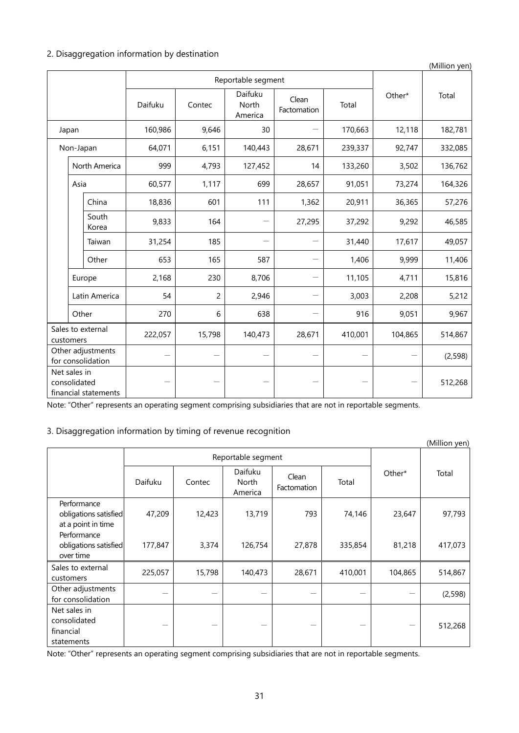## 2. Disaggregation information by destination

|                              |       |                                        |         |                |                                   |                      | (Million yen) |         |          |
|------------------------------|-------|----------------------------------------|---------|----------------|-----------------------------------|----------------------|---------------|---------|----------|
| Reportable segment           |       |                                        |         |                |                                   |                      |               |         |          |
|                              |       |                                        | Daifuku | Contec         | Daifuku<br>North<br>America       | Clean<br>Factomation | Total         | Other*  | Total    |
| Japan                        |       | 160,986                                | 9,646   | 30             |                                   | 170,663              | 12,118        | 182,781 |          |
| Non-Japan                    |       |                                        | 64,071  | 6,151          | 140,443                           | 28,671               | 239,337       | 92,747  | 332,085  |
|                              |       | North America                          | 999     | 4,793          | 127,452                           | 14                   | 133,260       | 3,502   | 136,762  |
|                              | Asia  |                                        | 60,577  | 1,117          | 699                               | 28,657               | 91,051        | 73,274  | 164,326  |
|                              |       | China                                  | 18,836  | 601            | 111                               | 1,362                | 20,911        | 36,365  | 57,276   |
|                              |       | South<br>Korea                         | 9,833   | 164            |                                   | 27,295               | 37,292        | 9,292   | 46,585   |
|                              |       | Taiwan                                 | 31,254  | 185            | $\overbrace{\phantom{123221111}}$ |                      | 31,440        | 17,617  | 49,057   |
|                              |       | Other                                  | 653     | 165            | 587                               |                      | 1,406         | 9,999   | 11,406   |
|                              |       | Europe                                 | 2,168   | 230            | 8,706                             |                      | 11,105        | 4,711   | 15,816   |
|                              |       | Latin America                          | 54      | $\overline{c}$ | 2,946                             |                      | 3,003         | 2,208   | 5,212    |
|                              | Other |                                        | 270     | 6              | 638                               | —                    | 916           | 9,051   | 9,967    |
| customers                    |       | Sales to external                      | 222,057 | 15,798         | 140,473                           | 28,671               | 410,001       | 104,865 | 514,867  |
|                              |       | Other adjustments<br>for consolidation |         |                |                                   |                      |               |         | (2, 598) |
| Net sales in<br>consolidated |       | financial statements                   |         |                |                                   |                      |               |         | 512,268  |

Note: "Other" represents an operating segment comprising subsidiaries that are not in reportable segments.

# 3. Disaggregation information by timing of revenue recognition

|                                                            |         |                    |                             |                      |         |         | (Million yen) |
|------------------------------------------------------------|---------|--------------------|-----------------------------|----------------------|---------|---------|---------------|
|                                                            |         | Reportable segment |                             |                      |         |         |               |
|                                                            | Daifuku | Contec             | Daifuku<br>North<br>America | Clean<br>Factomation | Total   | Other*  | Total         |
| Performance<br>obligations satisfied<br>at a point in time | 47,209  | 12,423             | 13,719                      | 793                  | 74,146  | 23,647  | 97,793        |
| Performance<br>obligations satisfied<br>over time          | 177,847 | 3,374              | 126,754                     | 27,878               | 335,854 | 81,218  | 417,073       |
| Sales to external<br>customers                             | 225,057 | 15,798             | 140,473                     | 28,671               | 410,001 | 104,865 | 514,867       |
| Other adjustments<br>for consolidation                     |         |                    |                             |                      |         |         | (2, 598)      |
| Net sales in<br>consolidated<br>financial<br>statements    |         |                    |                             |                      |         |         | 512,268       |

Note: "Other" represents an operating segment comprising subsidiaries that are not in reportable segments.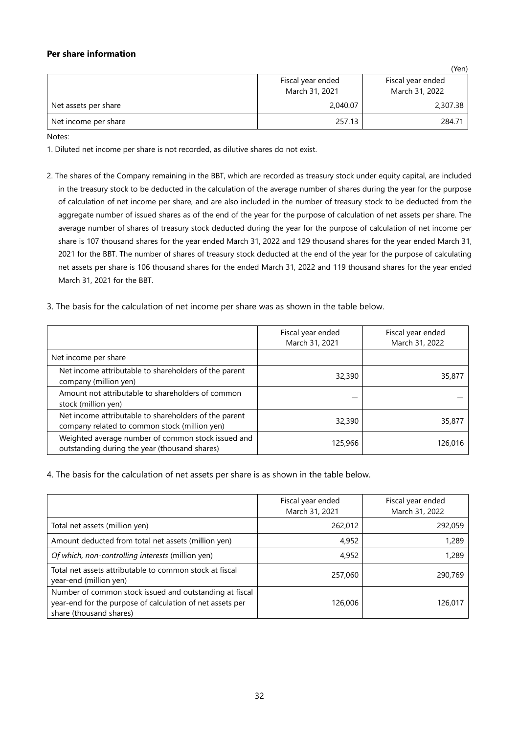## **Per share information**

|                      |                                     | (Yen)                               |
|----------------------|-------------------------------------|-------------------------------------|
|                      | Fiscal year ended<br>March 31, 2021 | Fiscal year ended<br>March 31, 2022 |
| Net assets per share | 2,040.07                            | 2,307.38                            |
| Net income per share | 257.13                              | 284.71                              |

Notes:

1. Diluted net income per share is not recorded, as dilutive shares do not exist.

- 2. The shares of the Company remaining in the BBT, which are recorded as treasury stock under equity capital, are included in the treasury stock to be deducted in the calculation of the average number of shares during the year for the purpose of calculation of net income per share, and are also included in the number of treasury stock to be deducted from the aggregate number of issued shares as of the end of the year for the purpose of calculation of net assets per share. The average number of shares of treasury stock deducted during the year for the purpose of calculation of net income per share is 107 thousand shares for the year ended March 31, 2022 and 129 thousand shares for the year ended March 31, 2021 for the BBT. The number of shares of treasury stock deducted at the end of the year for the purpose of calculating net assets per share is 106 thousand shares for the ended March 31, 2022 and 119 thousand shares for the year ended March 31, 2021 for the BBT.
- 3. The basis for the calculation of net income per share was as shown in the table below.

|                                                                                                        | Fiscal year ended<br>March 31, 2021 | Fiscal year ended<br>March 31, 2022 |
|--------------------------------------------------------------------------------------------------------|-------------------------------------|-------------------------------------|
| Net income per share                                                                                   |                                     |                                     |
| Net income attributable to shareholders of the parent<br>company (million yen)                         | 32,390                              | 35,877                              |
| Amount not attributable to shareholders of common<br>stock (million yen)                               |                                     |                                     |
| Net income attributable to shareholders of the parent<br>company related to common stock (million yen) | 32,390                              | 35,877                              |
| Weighted average number of common stock issued and<br>outstanding during the year (thousand shares)    | 125,966                             | 126,016                             |

4. The basis for the calculation of net assets per share is as shown in the table below.

|                                                                                                                                                 | Fiscal year ended<br>March 31, 2021 | Fiscal year ended<br>March 31, 2022 |
|-------------------------------------------------------------------------------------------------------------------------------------------------|-------------------------------------|-------------------------------------|
| Total net assets (million yen)                                                                                                                  | 262,012                             | 292,059                             |
| Amount deducted from total net assets (million yen)                                                                                             | 4,952                               | 1,289                               |
| Of which, non-controlling interests (million yen)                                                                                               | 4,952                               | 1,289                               |
| Total net assets attributable to common stock at fiscal<br>year-end (million yen)                                                               | 257,060                             | 290,769                             |
| Number of common stock issued and outstanding at fiscal<br>year-end for the purpose of calculation of net assets per<br>share (thousand shares) | 126,006                             | 126,017                             |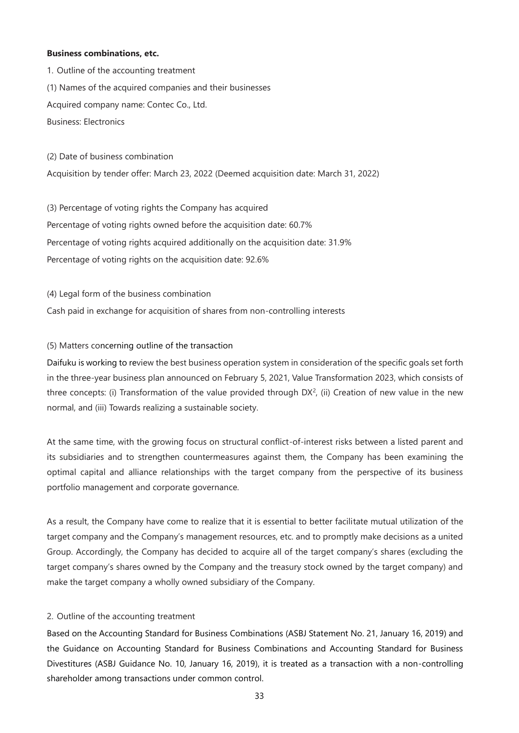#### **Business combinations, etc.**

1. Outline of the accounting treatment (1) Names of the acquired companies and their businesses Acquired company name: Contec Co., Ltd. Business: Electronics

(2) Date of business combination Acquisition by tender offer: March 23, 2022 (Deemed acquisition date: March 31, 2022)

(3) Percentage of voting rights the Company has acquired Percentage of voting rights owned before the acquisition date: 60.7% Percentage of voting rights acquired additionally on the acquisition date: 31.9% Percentage of voting rights on the acquisition date: 92.6%

(4) Legal form of the business combination Cash paid in exchange for acquisition of shares from non-controlling interests

## (5) Matters concerning outline of the transaction

Daifuku is working to review the best business operation system in consideration of the specific goals set forth in the three-year business plan announced on February 5, 2021, Value Transformation 2023, which consists of three concepts: (i) Transformation of the value provided through  $DX^2$ , (ii) Creation of new value in the new normal, and (iii) Towards realizing a sustainable society.

At the same time, with the growing focus on structural conflict-of-interest risks between a listed parent and its subsidiaries and to strengthen countermeasures against them, the Company has been examining the optimal capital and alliance relationships with the target company from the perspective of its business portfolio management and corporate governance.

As a result, the Company have come to realize that it is essential to better facilitate mutual utilization of the target company and the Company's management resources, etc. and to promptly make decisions as a united Group. Accordingly, the Company has decided to acquire all of the target company's shares (excluding the target company's shares owned by the Company and the treasury stock owned by the target company) and make the target company a wholly owned subsidiary of the Company.

## 2. Outline of the accounting treatment

Based on the Accounting Standard for Business Combinations (ASBJ Statement No. 21, January 16, 2019) and the Guidance on Accounting Standard for Business Combinations and Accounting Standard for Business Divestitures (ASBJ Guidance No. 10, January 16, 2019), it is treated as a transaction with a non-controlling shareholder among transactions under common control.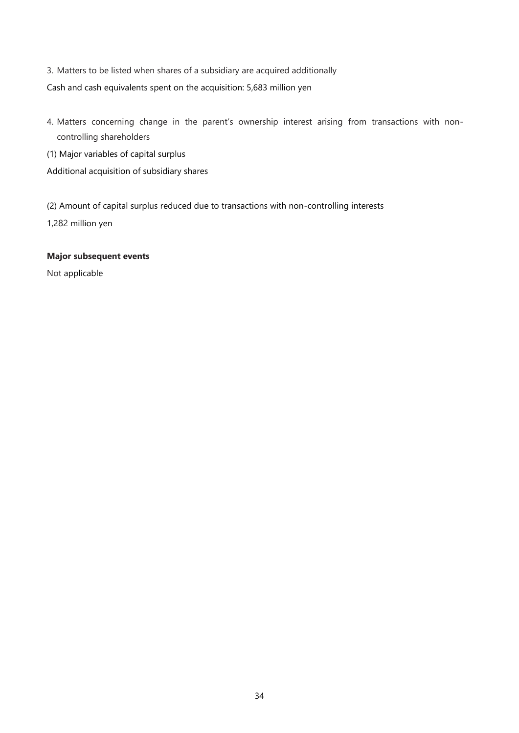3. Matters to be listed when shares of a subsidiary are acquired additionally Cash and cash equivalents spent on the acquisition: 5,683 million yen

- 4. Matters concerning change in the parent's ownership interest arising from transactions with noncontrolling shareholders
- (1) Major variables of capital surplus

Additional acquisition of subsidiary shares

(2) Amount of capital surplus reduced due to transactions with non-controlling interests 1,282 million yen

# **Major subsequent events**

Not applicable